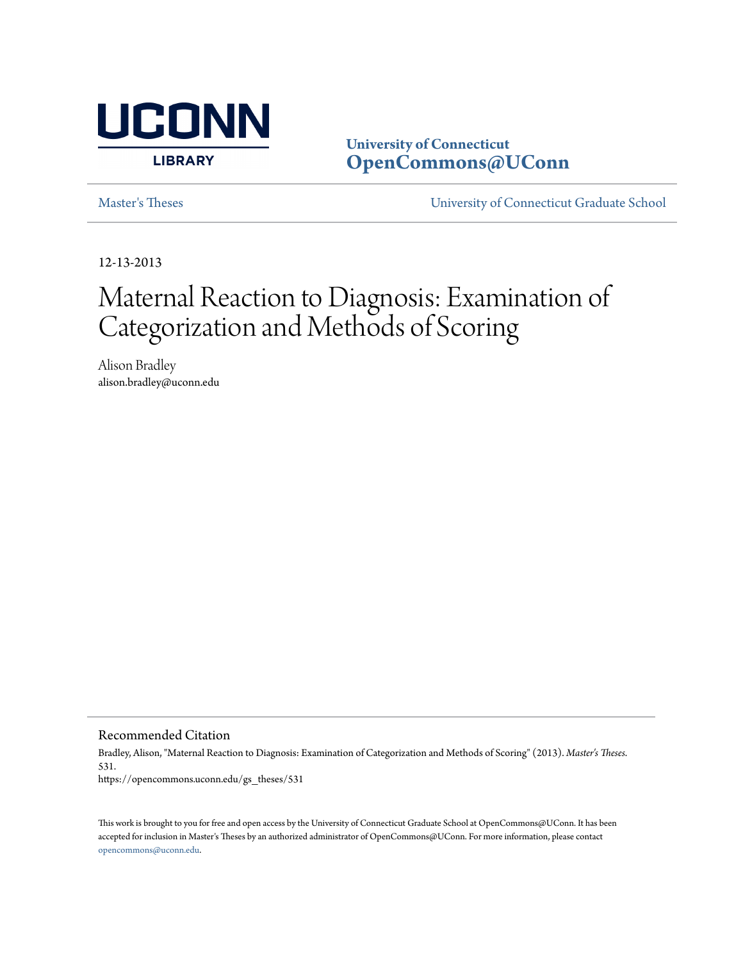

**University of Connecticut [OpenCommons@UConn](https://opencommons.uconn.edu)**

[Master's Theses](https://opencommons.uconn.edu/gs_theses) [University of Connecticut Graduate School](https://opencommons.uconn.edu/gs)

12-13-2013

# Maternal Reaction to Diagnosis: Examination of Categorization and Methods of Scoring

Alison Bradley alison.bradley@uconn.edu

Recommended Citation

Bradley, Alison, "Maternal Reaction to Diagnosis: Examination of Categorization and Methods of Scoring" (2013). *Master's Theses*. 531.

https://opencommons.uconn.edu/gs\_theses/531

This work is brought to you for free and open access by the University of Connecticut Graduate School at OpenCommons@UConn. It has been accepted for inclusion in Master's Theses by an authorized administrator of OpenCommons@UConn. For more information, please contact [opencommons@uconn.edu](mailto:opencommons@uconn.edu).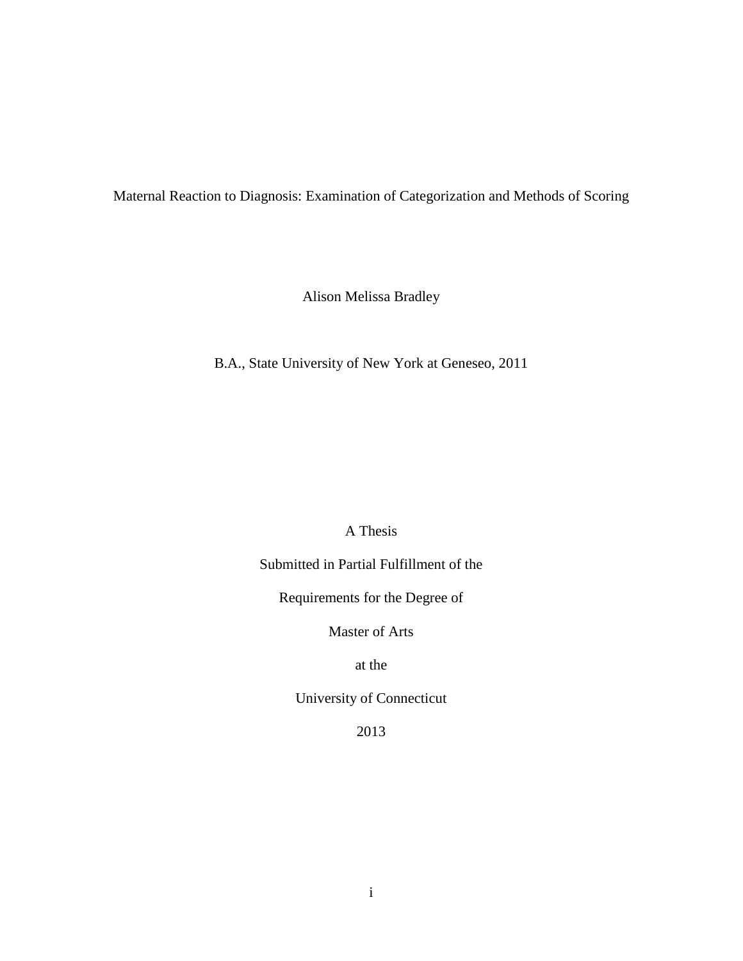Maternal Reaction to Diagnosis: Examination of Categorization and Methods of Scoring

Alison Melissa Bradley

B.A., State University of New York at Geneseo, 2011

A Thesis

Submitted in Partial Fulfillment of the

Requirements for the Degree of

Master of Arts

at the

University of Connecticut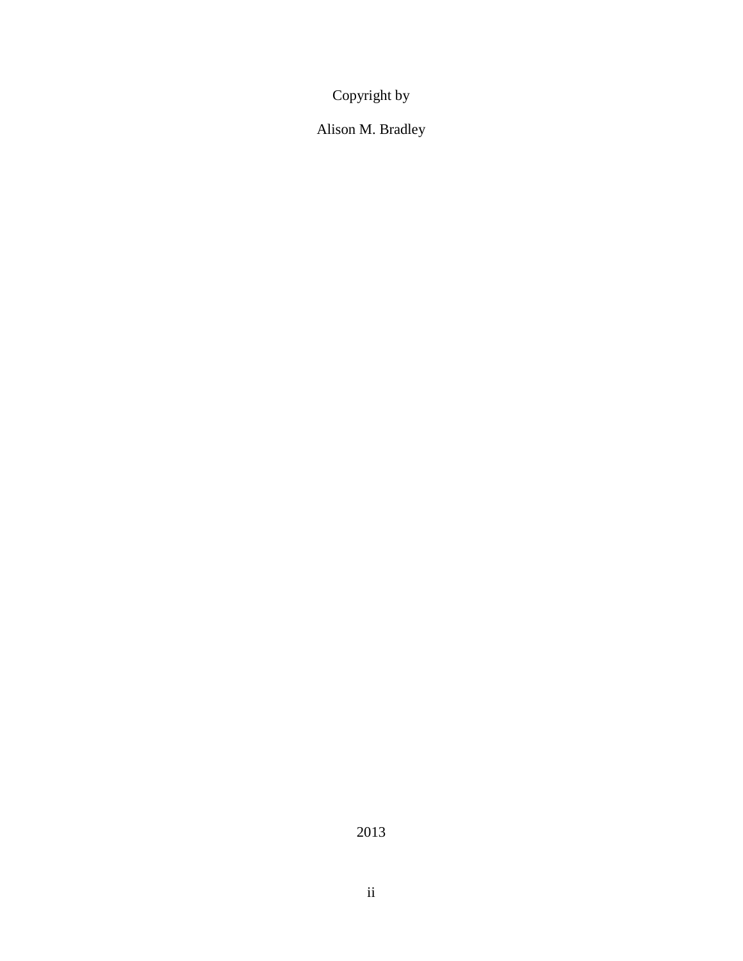Copyright by

Alison M. Bradley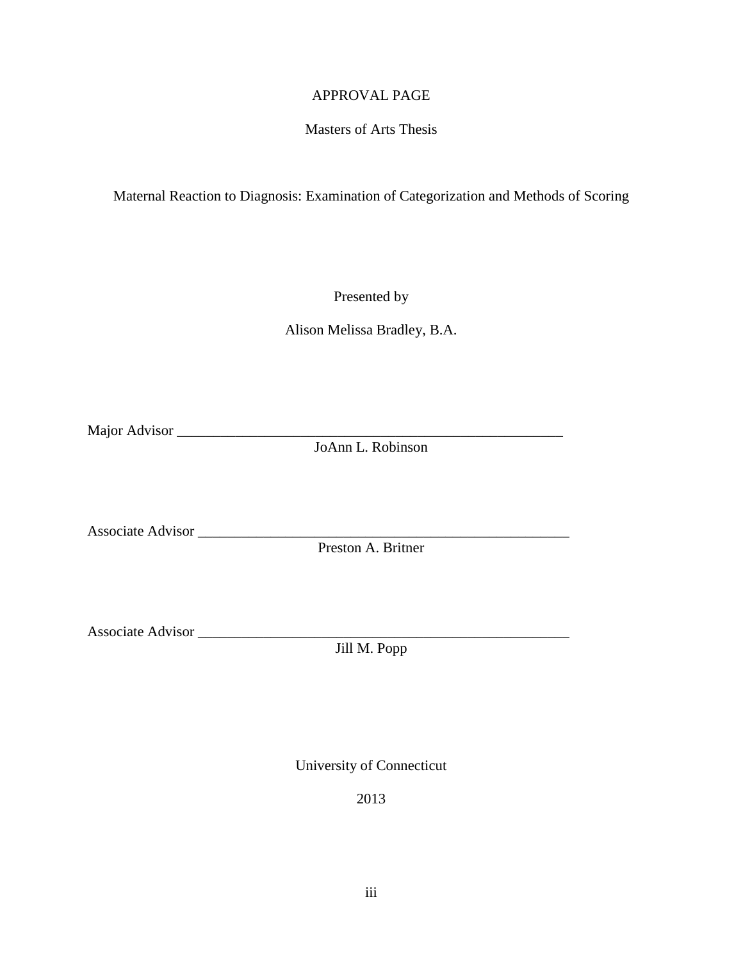### APPROVAL PAGE

#### Masters of Arts Thesis

Maternal Reaction to Diagnosis: Examination of Categorization and Methods of Scoring

Presented by

Alison Melissa Bradley, B.A.

Major Advisor \_\_\_\_\_\_\_\_\_\_\_\_\_\_\_\_\_\_\_\_\_\_\_\_\_\_\_\_\_\_\_\_\_\_\_\_\_\_\_\_\_\_\_\_\_\_\_\_\_\_\_\_\_

JoAnn L. Robinson

Associate Advisor

Preston A. Britner

Associate Advisor \_\_\_\_\_\_\_\_\_\_\_\_\_\_\_\_\_\_\_\_\_\_\_\_\_\_\_\_\_\_\_\_\_\_\_\_\_\_\_\_\_\_\_\_\_\_\_\_\_\_\_

Jill M. Popp

University of Connecticut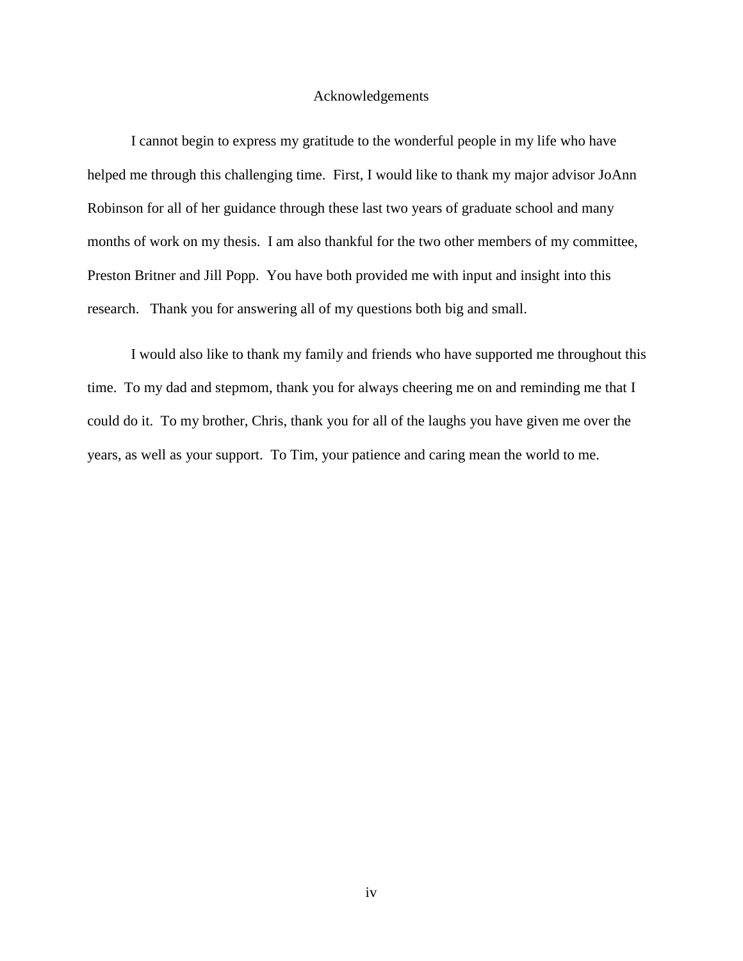#### Acknowledgements

I cannot begin to express my gratitude to the wonderful people in my life who have helped me through this challenging time. First, I would like to thank my major advisor JoAnn Robinson for all of her guidance through these last two years of graduate school and many months of work on my thesis. I am also thankful for the two other members of my committee, Preston Britner and Jill Popp. You have both provided me with input and insight into this research. Thank you for answering all of my questions both big and small.

I would also like to thank my family and friends who have supported me throughout this time. To my dad and stepmom, thank you for always cheering me on and reminding me that I could do it. To my brother, Chris, thank you for all of the laughs you have given me over the years, as well as your support. To Tim, your patience and caring mean the world to me.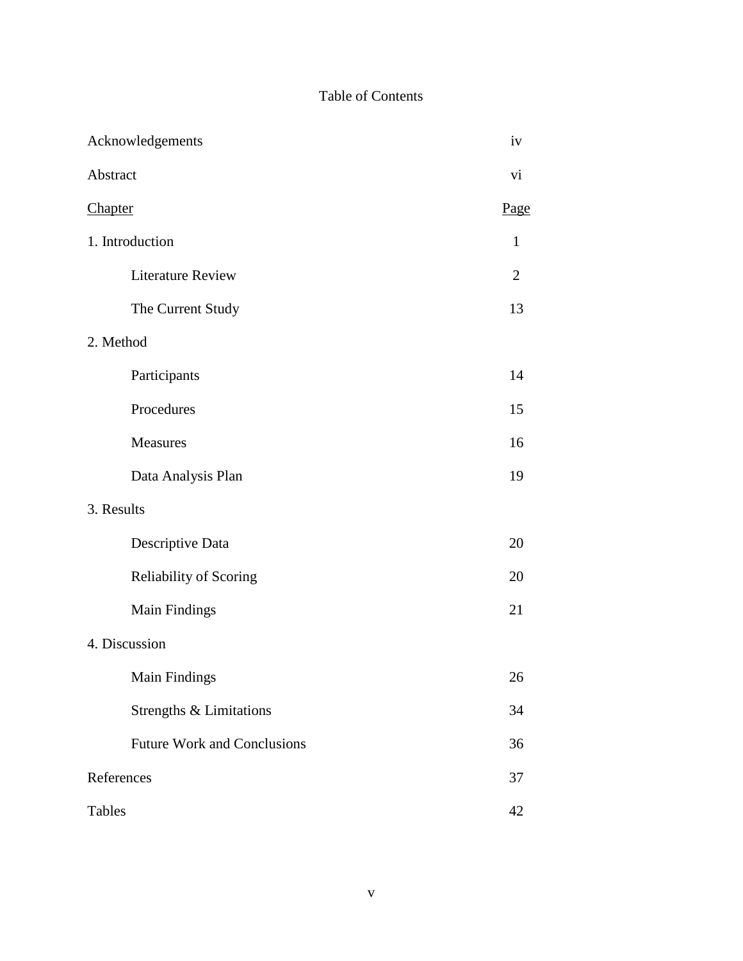# Table of Contents

| Acknowledgements                   | iv             |
|------------------------------------|----------------|
| Abstract                           | vi             |
| <b>Chapter</b>                     | Page           |
| 1. Introduction                    | $\mathbf{1}$   |
| <b>Literature Review</b>           | $\overline{2}$ |
| The Current Study                  | 13             |
| 2. Method                          |                |
| Participants                       | 14             |
| Procedures                         | 15             |
| <b>Measures</b>                    | 16             |
| Data Analysis Plan                 | 19             |
| 3. Results                         |                |
| Descriptive Data                   | 20             |
| Reliability of Scoring             | 20             |
| <b>Main Findings</b>               | 21             |
| 4. Discussion                      |                |
| Main Findings                      | 26             |
| Strengths & Limitations            | 34             |
| <b>Future Work and Conclusions</b> | 36             |
| References                         | 37             |
| <b>Tables</b>                      | 42             |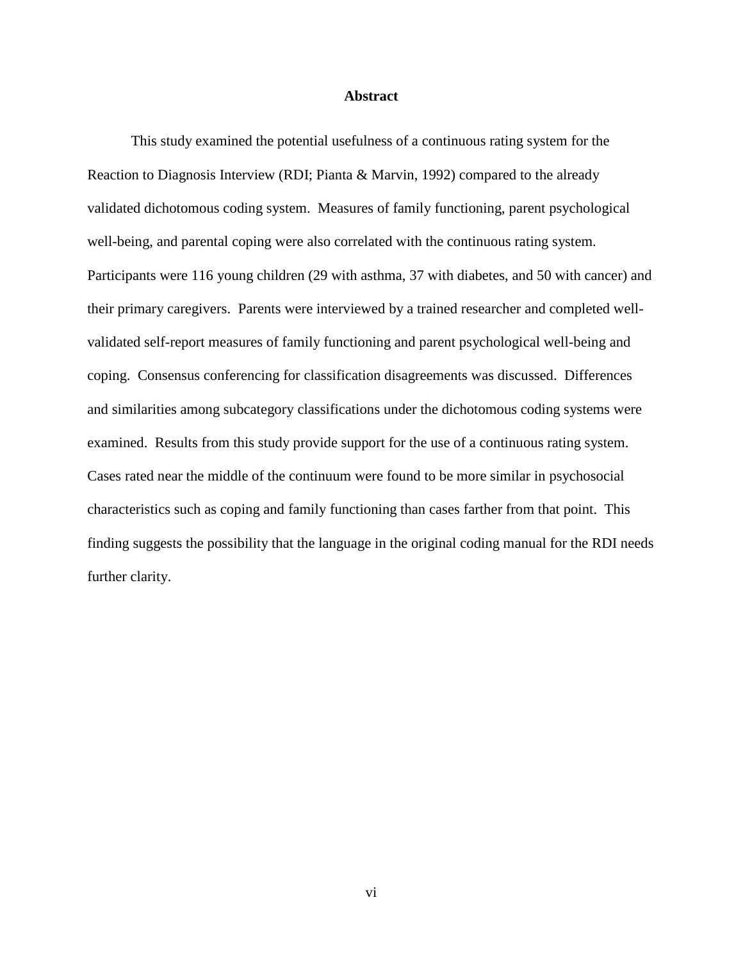#### **Abstract**

This study examined the potential usefulness of a continuous rating system for the Reaction to Diagnosis Interview (RDI; Pianta & Marvin, 1992) compared to the already validated dichotomous coding system. Measures of family functioning, parent psychological well-being, and parental coping were also correlated with the continuous rating system. Participants were 116 young children (29 with asthma, 37 with diabetes, and 50 with cancer) and their primary caregivers. Parents were interviewed by a trained researcher and completed wellvalidated self-report measures of family functioning and parent psychological well-being and coping. Consensus conferencing for classification disagreements was discussed. Differences and similarities among subcategory classifications under the dichotomous coding systems were examined. Results from this study provide support for the use of a continuous rating system. Cases rated near the middle of the continuum were found to be more similar in psychosocial characteristics such as coping and family functioning than cases farther from that point. This finding suggests the possibility that the language in the original coding manual for the RDI needs further clarity.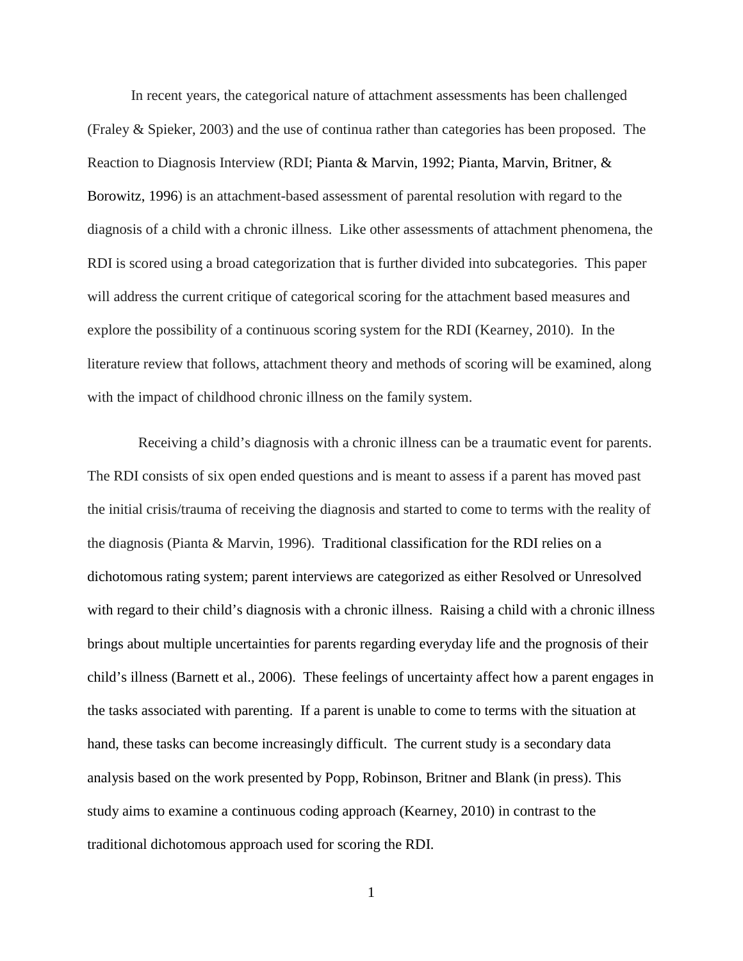In recent years, the categorical nature of attachment assessments has been challenged (Fraley & Spieker, 2003) and the use of continua rather than categories has been proposed. The Reaction to Diagnosis Interview (RDI; Pianta & Marvin, 1992; Pianta, Marvin, Britner, & Borowitz, 1996) is an attachment-based assessment of parental resolution with regard to the diagnosis of a child with a chronic illness. Like other assessments of attachment phenomena, the RDI is scored using a broad categorization that is further divided into subcategories. This paper will address the current critique of categorical scoring for the attachment based measures and explore the possibility of a continuous scoring system for the RDI (Kearney, 2010). In the literature review that follows, attachment theory and methods of scoring will be examined, along with the impact of childhood chronic illness on the family system.

 Receiving a child's diagnosis with a chronic illness can be a traumatic event for parents. The RDI consists of six open ended questions and is meant to assess if a parent has moved past the initial crisis/trauma of receiving the diagnosis and started to come to terms with the reality of the diagnosis (Pianta & Marvin, 1996). Traditional classification for the RDI relies on a dichotomous rating system; parent interviews are categorized as either Resolved or Unresolved with regard to their child's diagnosis with a chronic illness. Raising a child with a chronic illness brings about multiple uncertainties for parents regarding everyday life and the prognosis of their child's illness (Barnett et al., 2006). These feelings of uncertainty affect how a parent engages in the tasks associated with parenting. If a parent is unable to come to terms with the situation at hand, these tasks can become increasingly difficult. The current study is a secondary data analysis based on the work presented by Popp, Robinson, Britner and Blank (in press). This study aims to examine a continuous coding approach (Kearney, 2010) in contrast to the traditional dichotomous approach used for scoring the RDI.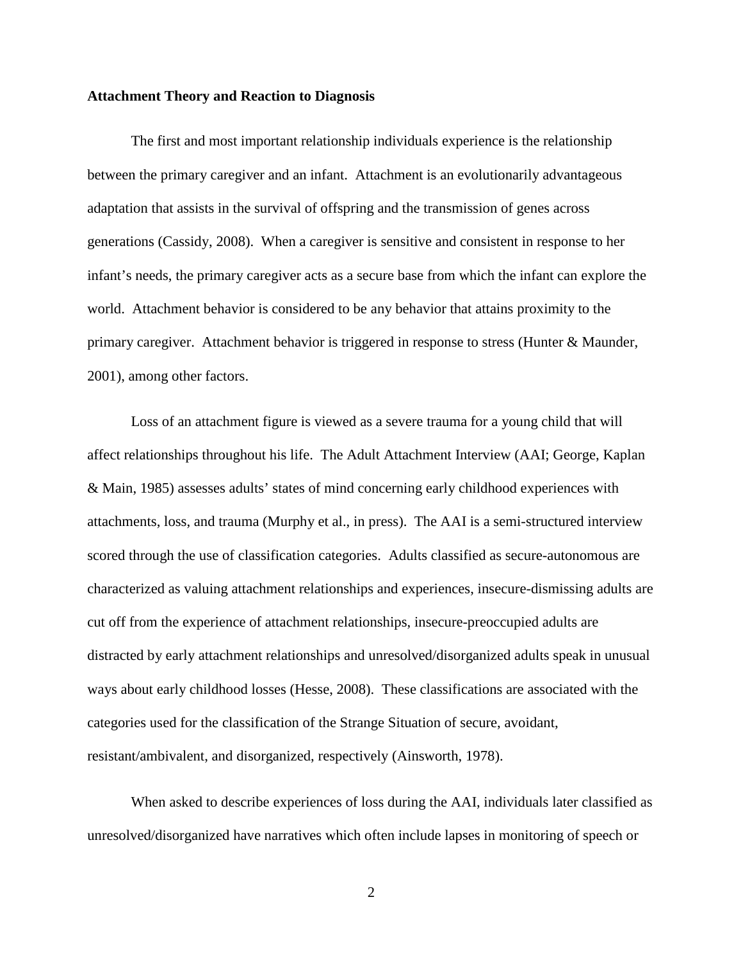#### **Attachment Theory and Reaction to Diagnosis**

The first and most important relationship individuals experience is the relationship between the primary caregiver and an infant. Attachment is an evolutionarily advantageous adaptation that assists in the survival of offspring and the transmission of genes across generations (Cassidy, 2008). When a caregiver is sensitive and consistent in response to her infant's needs, the primary caregiver acts as a secure base from which the infant can explore the world. Attachment behavior is considered to be any behavior that attains proximity to the primary caregiver. Attachment behavior is triggered in response to stress (Hunter & Maunder, 2001), among other factors.

Loss of an attachment figure is viewed as a severe trauma for a young child that will affect relationships throughout his life. The Adult Attachment Interview (AAI; George, Kaplan & Main, 1985) assesses adults' states of mind concerning early childhood experiences with attachments, loss, and trauma (Murphy et al., in press). The AAI is a semi-structured interview scored through the use of classification categories. Adults classified as secure-autonomous are characterized as valuing attachment relationships and experiences, insecure-dismissing adults are cut off from the experience of attachment relationships, insecure-preoccupied adults are distracted by early attachment relationships and unresolved/disorganized adults speak in unusual ways about early childhood losses (Hesse, 2008). These classifications are associated with the categories used for the classification of the Strange Situation of secure, avoidant, resistant/ambivalent, and disorganized, respectively (Ainsworth, 1978).

When asked to describe experiences of loss during the AAI, individuals later classified as unresolved/disorganized have narratives which often include lapses in monitoring of speech or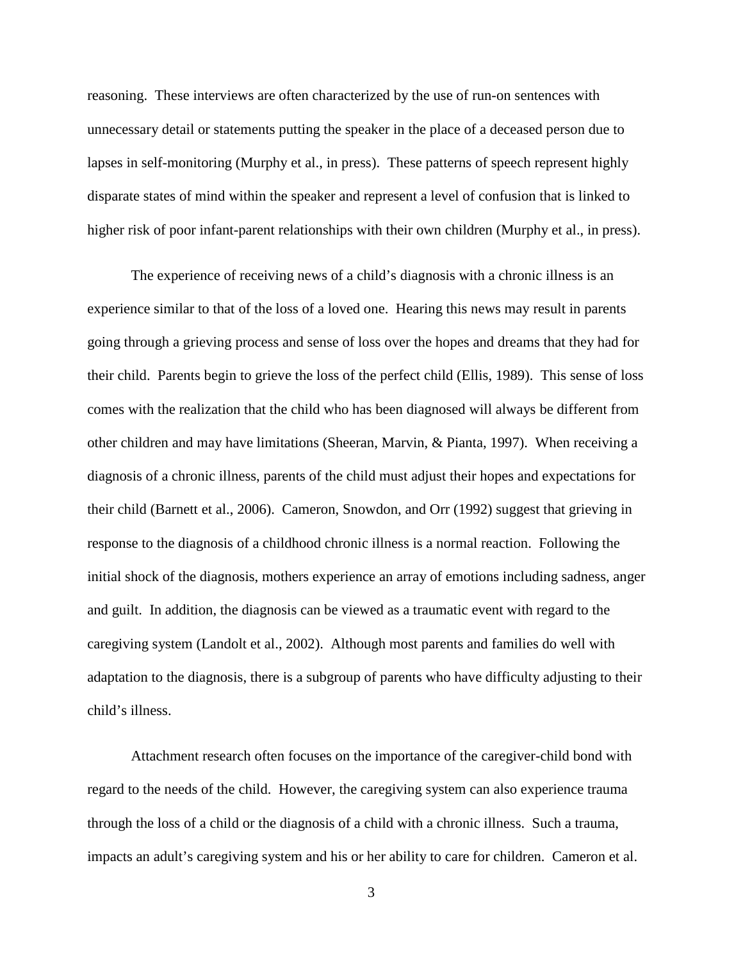reasoning. These interviews are often characterized by the use of run-on sentences with unnecessary detail or statements putting the speaker in the place of a deceased person due to lapses in self-monitoring (Murphy et al., in press). These patterns of speech represent highly disparate states of mind within the speaker and represent a level of confusion that is linked to higher risk of poor infant-parent relationships with their own children (Murphy et al., in press).

The experience of receiving news of a child's diagnosis with a chronic illness is an experience similar to that of the loss of a loved one. Hearing this news may result in parents going through a grieving process and sense of loss over the hopes and dreams that they had for their child. Parents begin to grieve the loss of the perfect child (Ellis, 1989). This sense of loss comes with the realization that the child who has been diagnosed will always be different from other children and may have limitations (Sheeran, Marvin, & Pianta, 1997). When receiving a diagnosis of a chronic illness, parents of the child must adjust their hopes and expectations for their child (Barnett et al., 2006). Cameron, Snowdon, and Orr (1992) suggest that grieving in response to the diagnosis of a childhood chronic illness is a normal reaction. Following the initial shock of the diagnosis, mothers experience an array of emotions including sadness, anger and guilt. In addition, the diagnosis can be viewed as a traumatic event with regard to the caregiving system (Landolt et al., 2002). Although most parents and families do well with adaptation to the diagnosis, there is a subgroup of parents who have difficulty adjusting to their child's illness.

Attachment research often focuses on the importance of the caregiver-child bond with regard to the needs of the child. However, the caregiving system can also experience trauma through the loss of a child or the diagnosis of a child with a chronic illness. Such a trauma, impacts an adult's caregiving system and his or her ability to care for children. Cameron et al.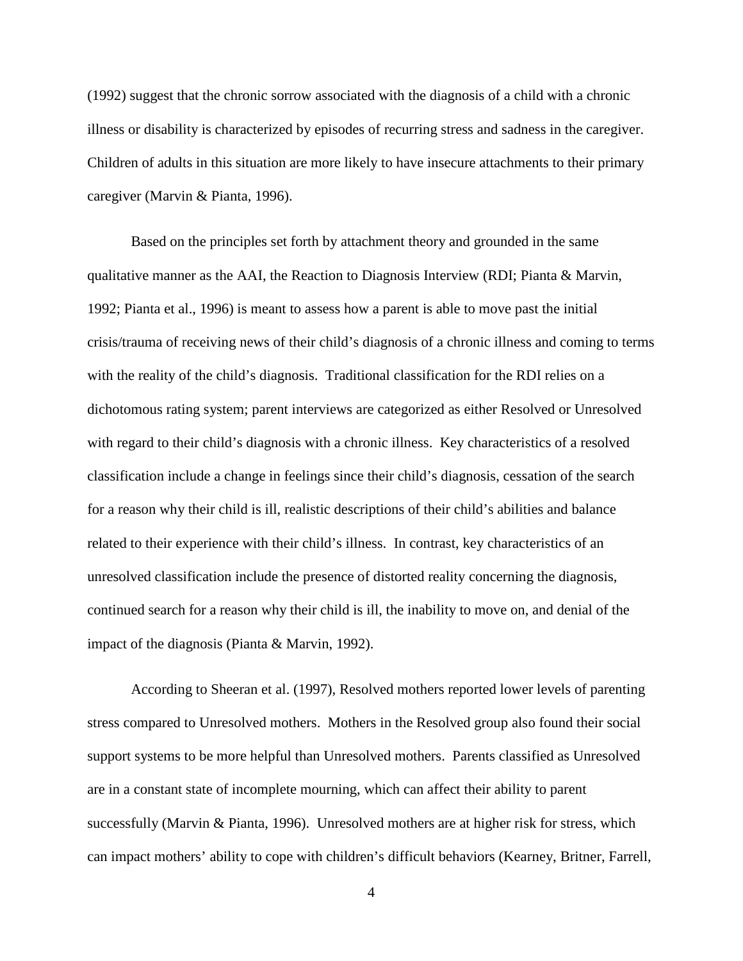(1992) suggest that the chronic sorrow associated with the diagnosis of a child with a chronic illness or disability is characterized by episodes of recurring stress and sadness in the caregiver. Children of adults in this situation are more likely to have insecure attachments to their primary caregiver (Marvin & Pianta, 1996).

Based on the principles set forth by attachment theory and grounded in the same qualitative manner as the AAI, the Reaction to Diagnosis Interview (RDI; Pianta & Marvin, 1992; Pianta et al., 1996) is meant to assess how a parent is able to move past the initial crisis/trauma of receiving news of their child's diagnosis of a chronic illness and coming to terms with the reality of the child's diagnosis. Traditional classification for the RDI relies on a dichotomous rating system; parent interviews are categorized as either Resolved or Unresolved with regard to their child's diagnosis with a chronic illness. Key characteristics of a resolved classification include a change in feelings since their child's diagnosis, cessation of the search for a reason why their child is ill, realistic descriptions of their child's abilities and balance related to their experience with their child's illness. In contrast, key characteristics of an unresolved classification include the presence of distorted reality concerning the diagnosis, continued search for a reason why their child is ill, the inability to move on, and denial of the impact of the diagnosis (Pianta & Marvin, 1992).

According to Sheeran et al. (1997), Resolved mothers reported lower levels of parenting stress compared to Unresolved mothers. Mothers in the Resolved group also found their social support systems to be more helpful than Unresolved mothers. Parents classified as Unresolved are in a constant state of incomplete mourning, which can affect their ability to parent successfully (Marvin & Pianta, 1996). Unresolved mothers are at higher risk for stress, which can impact mothers' ability to cope with children's difficult behaviors (Kearney, Britner, Farrell,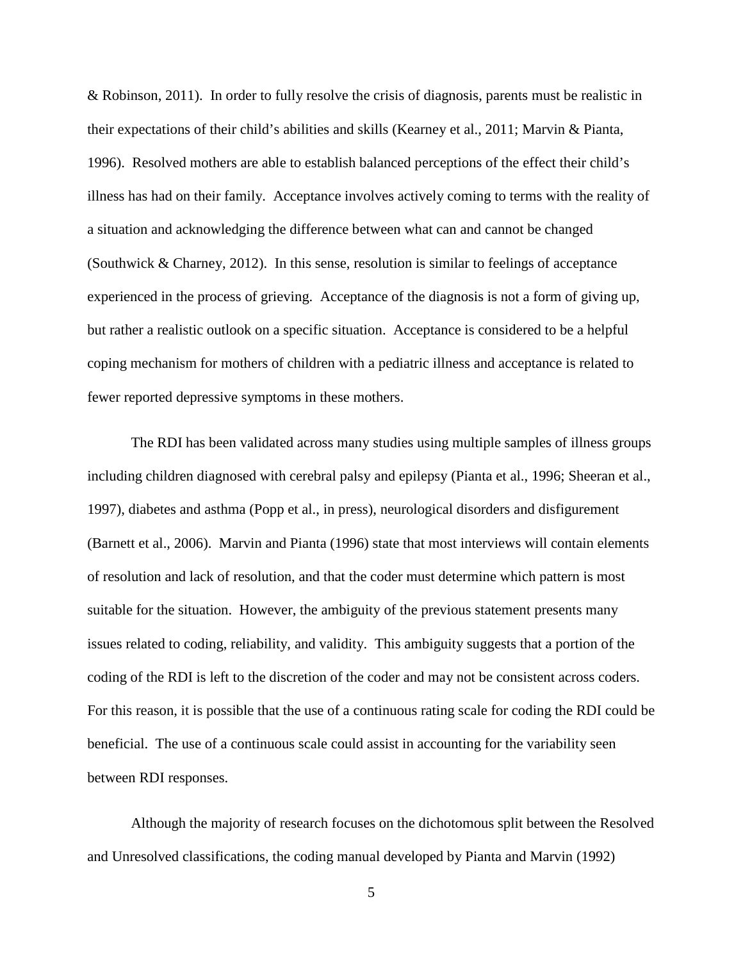& Robinson, 2011). In order to fully resolve the crisis of diagnosis, parents must be realistic in their expectations of their child's abilities and skills (Kearney et al., 2011; Marvin & Pianta, 1996). Resolved mothers are able to establish balanced perceptions of the effect their child's illness has had on their family. Acceptance involves actively coming to terms with the reality of a situation and acknowledging the difference between what can and cannot be changed (Southwick & Charney, 2012). In this sense, resolution is similar to feelings of acceptance experienced in the process of grieving. Acceptance of the diagnosis is not a form of giving up, but rather a realistic outlook on a specific situation. Acceptance is considered to be a helpful coping mechanism for mothers of children with a pediatric illness and acceptance is related to fewer reported depressive symptoms in these mothers.

The RDI has been validated across many studies using multiple samples of illness groups including children diagnosed with cerebral palsy and epilepsy (Pianta et al., 1996; Sheeran et al., 1997), diabetes and asthma (Popp et al., in press), neurological disorders and disfigurement (Barnett et al., 2006). Marvin and Pianta (1996) state that most interviews will contain elements of resolution and lack of resolution, and that the coder must determine which pattern is most suitable for the situation. However, the ambiguity of the previous statement presents many issues related to coding, reliability, and validity. This ambiguity suggests that a portion of the coding of the RDI is left to the discretion of the coder and may not be consistent across coders. For this reason, it is possible that the use of a continuous rating scale for coding the RDI could be beneficial. The use of a continuous scale could assist in accounting for the variability seen between RDI responses.

Although the majority of research focuses on the dichotomous split between the Resolved and Unresolved classifications, the coding manual developed by Pianta and Marvin (1992)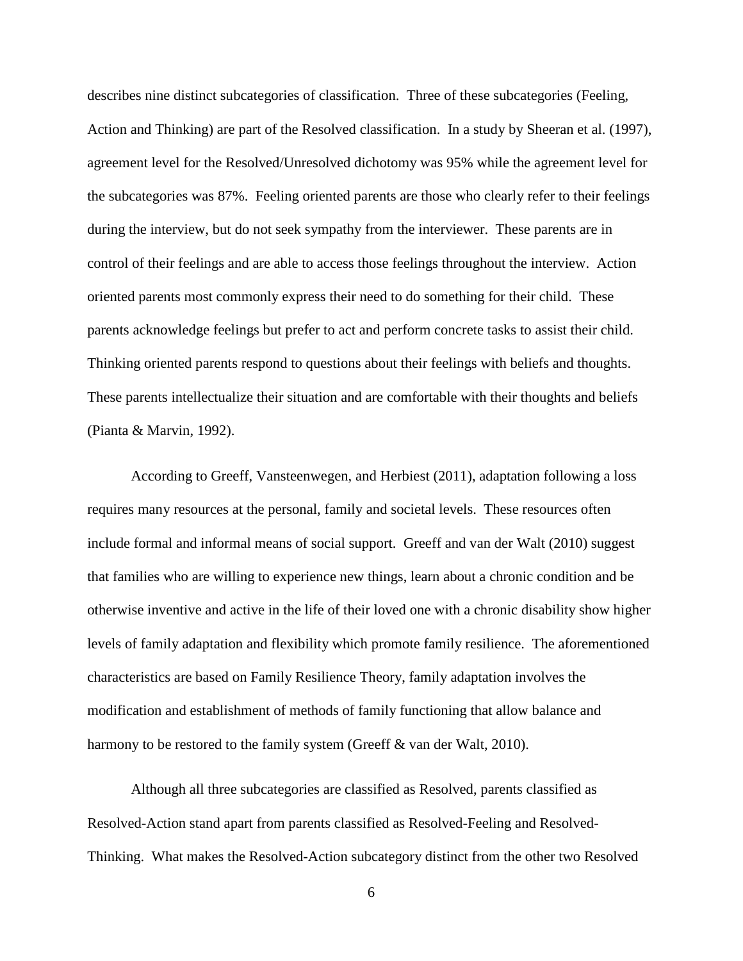describes nine distinct subcategories of classification. Three of these subcategories (Feeling, Action and Thinking) are part of the Resolved classification. In a study by Sheeran et al. (1997), agreement level for the Resolved/Unresolved dichotomy was 95% while the agreement level for the subcategories was 87%. Feeling oriented parents are those who clearly refer to their feelings during the interview, but do not seek sympathy from the interviewer. These parents are in control of their feelings and are able to access those feelings throughout the interview. Action oriented parents most commonly express their need to do something for their child. These parents acknowledge feelings but prefer to act and perform concrete tasks to assist their child. Thinking oriented parents respond to questions about their feelings with beliefs and thoughts. These parents intellectualize their situation and are comfortable with their thoughts and beliefs (Pianta & Marvin, 1992).

According to Greeff, Vansteenwegen, and Herbiest (2011), adaptation following a loss requires many resources at the personal, family and societal levels. These resources often include formal and informal means of social support. Greeff and van der Walt (2010) suggest that families who are willing to experience new things, learn about a chronic condition and be otherwise inventive and active in the life of their loved one with a chronic disability show higher levels of family adaptation and flexibility which promote family resilience. The aforementioned characteristics are based on Family Resilience Theory, family adaptation involves the modification and establishment of methods of family functioning that allow balance and harmony to be restored to the family system (Greeff & van der Walt, 2010).

Although all three subcategories are classified as Resolved, parents classified as Resolved-Action stand apart from parents classified as Resolved-Feeling and Resolved-Thinking. What makes the Resolved-Action subcategory distinct from the other two Resolved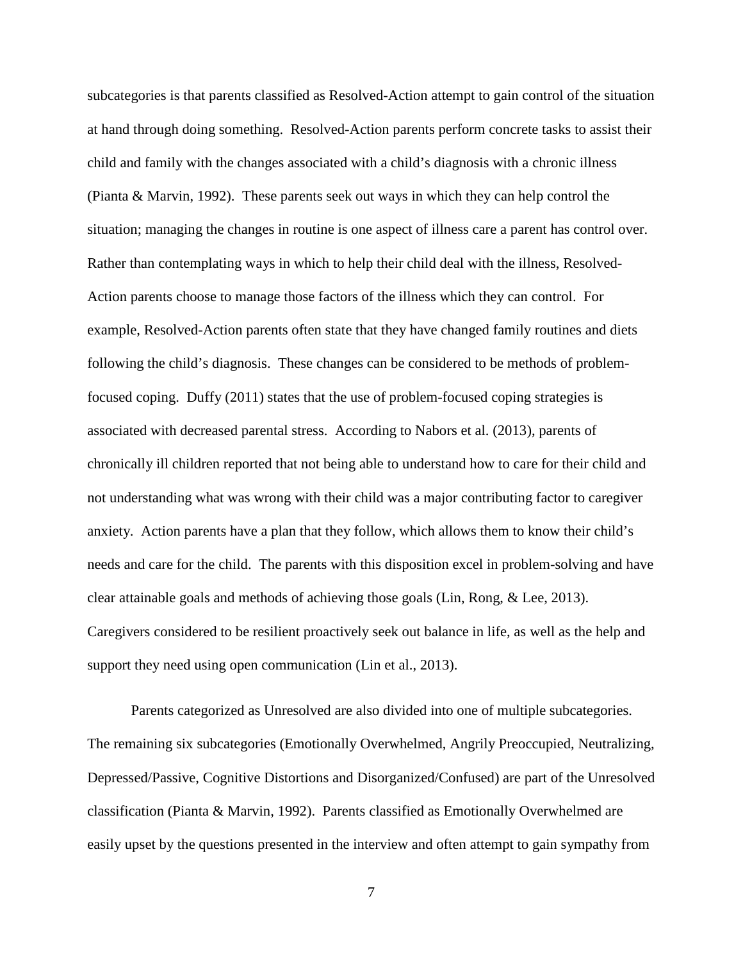subcategories is that parents classified as Resolved-Action attempt to gain control of the situation at hand through doing something. Resolved-Action parents perform concrete tasks to assist their child and family with the changes associated with a child's diagnosis with a chronic illness (Pianta & Marvin, 1992). These parents seek out ways in which they can help control the situation; managing the changes in routine is one aspect of illness care a parent has control over. Rather than contemplating ways in which to help their child deal with the illness, Resolved-Action parents choose to manage those factors of the illness which they can control. For example, Resolved-Action parents often state that they have changed family routines and diets following the child's diagnosis. These changes can be considered to be methods of problemfocused coping. Duffy (2011) states that the use of problem-focused coping strategies is associated with decreased parental stress. According to Nabors et al. (2013), parents of chronically ill children reported that not being able to understand how to care for their child and not understanding what was wrong with their child was a major contributing factor to caregiver anxiety. Action parents have a plan that they follow, which allows them to know their child's needs and care for the child. The parents with this disposition excel in problem-solving and have clear attainable goals and methods of achieving those goals (Lin, Rong, & Lee, 2013). Caregivers considered to be resilient proactively seek out balance in life, as well as the help and support they need using open communication (Lin et al., 2013).

Parents categorized as Unresolved are also divided into one of multiple subcategories. The remaining six subcategories (Emotionally Overwhelmed, Angrily Preoccupied, Neutralizing, Depressed/Passive, Cognitive Distortions and Disorganized/Confused) are part of the Unresolved classification (Pianta & Marvin, 1992). Parents classified as Emotionally Overwhelmed are easily upset by the questions presented in the interview and often attempt to gain sympathy from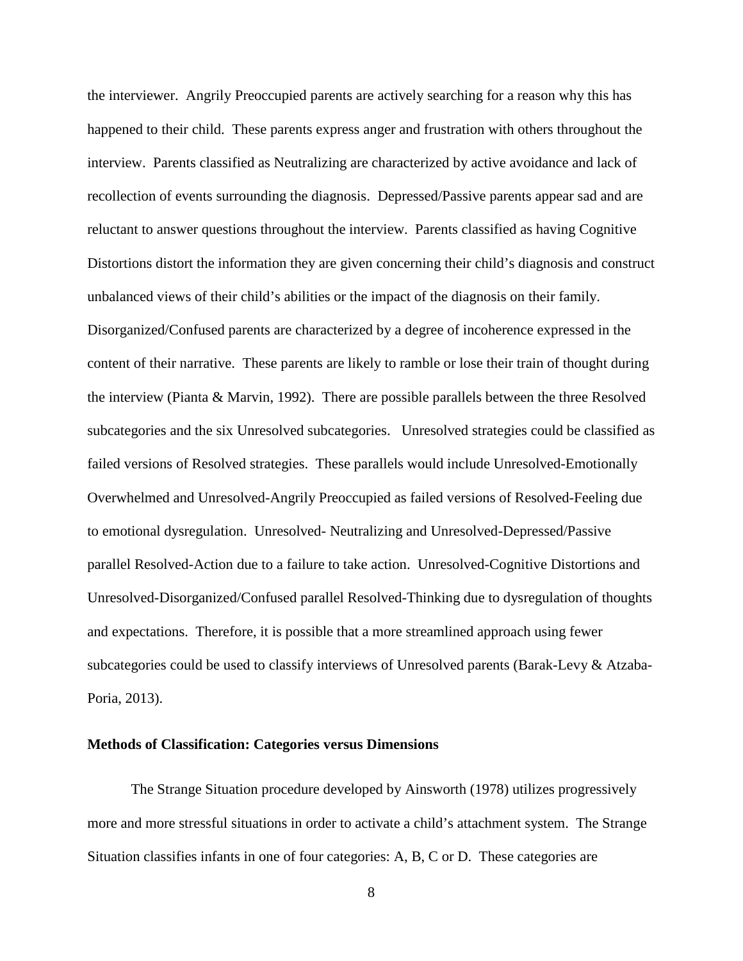the interviewer. Angrily Preoccupied parents are actively searching for a reason why this has happened to their child. These parents express anger and frustration with others throughout the interview. Parents classified as Neutralizing are characterized by active avoidance and lack of recollection of events surrounding the diagnosis. Depressed/Passive parents appear sad and are reluctant to answer questions throughout the interview. Parents classified as having Cognitive Distortions distort the information they are given concerning their child's diagnosis and construct unbalanced views of their child's abilities or the impact of the diagnosis on their family. Disorganized/Confused parents are characterized by a degree of incoherence expressed in the content of their narrative. These parents are likely to ramble or lose their train of thought during the interview (Pianta & Marvin, 1992). There are possible parallels between the three Resolved subcategories and the six Unresolved subcategories. Unresolved strategies could be classified as failed versions of Resolved strategies. These parallels would include Unresolved-Emotionally Overwhelmed and Unresolved-Angrily Preoccupied as failed versions of Resolved-Feeling due to emotional dysregulation. Unresolved- Neutralizing and Unresolved-Depressed/Passive parallel Resolved-Action due to a failure to take action. Unresolved-Cognitive Distortions and Unresolved-Disorganized/Confused parallel Resolved-Thinking due to dysregulation of thoughts and expectations. Therefore, it is possible that a more streamlined approach using fewer subcategories could be used to classify interviews of Unresolved parents (Barak-Levy & Atzaba-Poria, 2013).

#### **Methods of Classification: Categories versus Dimensions**

The Strange Situation procedure developed by Ainsworth (1978) utilizes progressively more and more stressful situations in order to activate a child's attachment system. The Strange Situation classifies infants in one of four categories: A, B, C or D. These categories are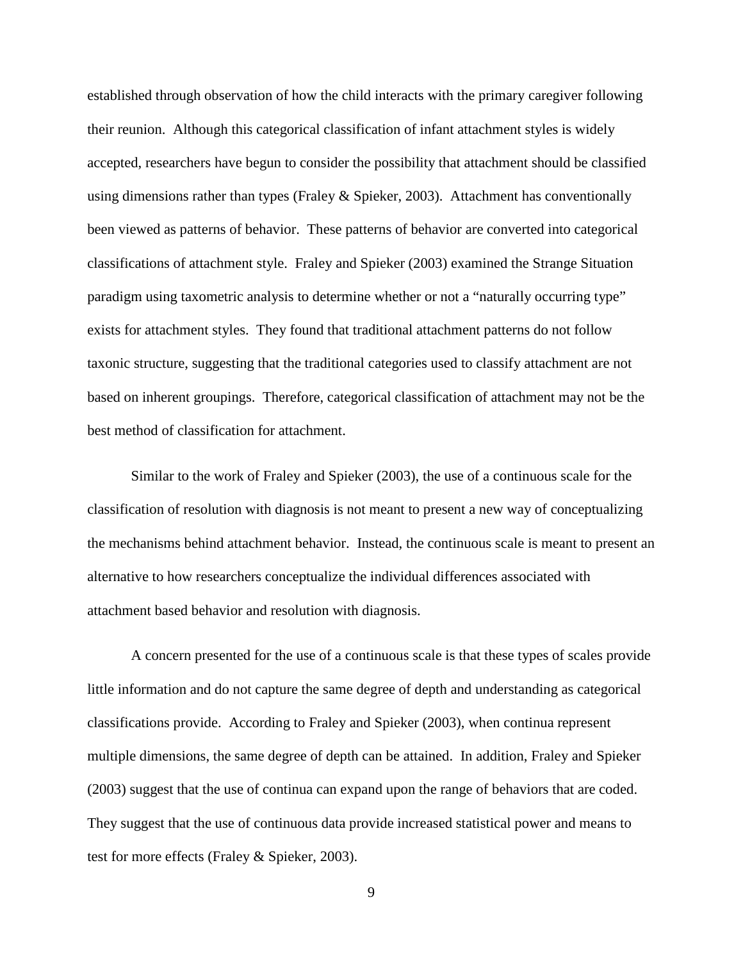established through observation of how the child interacts with the primary caregiver following their reunion. Although this categorical classification of infant attachment styles is widely accepted, researchers have begun to consider the possibility that attachment should be classified using dimensions rather than types (Fraley & Spieker, 2003). Attachment has conventionally been viewed as patterns of behavior. These patterns of behavior are converted into categorical classifications of attachment style. Fraley and Spieker (2003) examined the Strange Situation paradigm using taxometric analysis to determine whether or not a "naturally occurring type" exists for attachment styles. They found that traditional attachment patterns do not follow taxonic structure, suggesting that the traditional categories used to classify attachment are not based on inherent groupings. Therefore, categorical classification of attachment may not be the best method of classification for attachment.

Similar to the work of Fraley and Spieker (2003), the use of a continuous scale for the classification of resolution with diagnosis is not meant to present a new way of conceptualizing the mechanisms behind attachment behavior. Instead, the continuous scale is meant to present an alternative to how researchers conceptualize the individual differences associated with attachment based behavior and resolution with diagnosis.

A concern presented for the use of a continuous scale is that these types of scales provide little information and do not capture the same degree of depth and understanding as categorical classifications provide. According to Fraley and Spieker (2003), when continua represent multiple dimensions, the same degree of depth can be attained. In addition, Fraley and Spieker (2003) suggest that the use of continua can expand upon the range of behaviors that are coded. They suggest that the use of continuous data provide increased statistical power and means to test for more effects (Fraley & Spieker, 2003).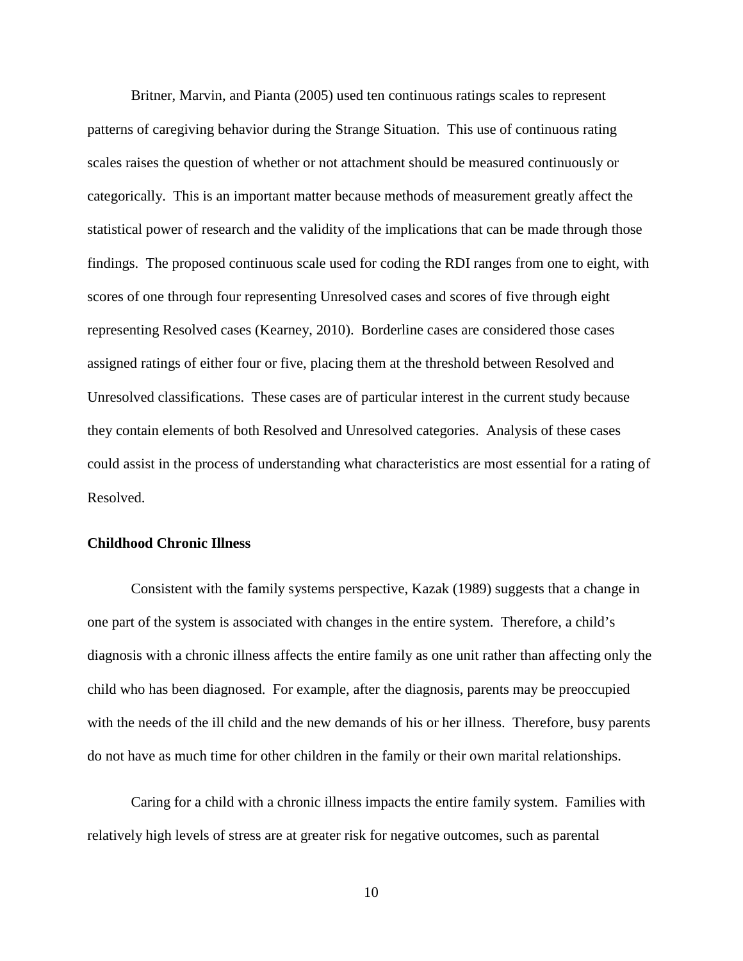Britner, Marvin, and Pianta (2005) used ten continuous ratings scales to represent patterns of caregiving behavior during the Strange Situation. This use of continuous rating scales raises the question of whether or not attachment should be measured continuously or categorically. This is an important matter because methods of measurement greatly affect the statistical power of research and the validity of the implications that can be made through those findings. The proposed continuous scale used for coding the RDI ranges from one to eight, with scores of one through four representing Unresolved cases and scores of five through eight representing Resolved cases (Kearney, 2010). Borderline cases are considered those cases assigned ratings of either four or five, placing them at the threshold between Resolved and Unresolved classifications. These cases are of particular interest in the current study because they contain elements of both Resolved and Unresolved categories. Analysis of these cases could assist in the process of understanding what characteristics are most essential for a rating of Resolved.

#### **Childhood Chronic Illness**

Consistent with the family systems perspective, Kazak (1989) suggests that a change in one part of the system is associated with changes in the entire system. Therefore, a child's diagnosis with a chronic illness affects the entire family as one unit rather than affecting only the child who has been diagnosed. For example, after the diagnosis, parents may be preoccupied with the needs of the ill child and the new demands of his or her illness. Therefore, busy parents do not have as much time for other children in the family or their own marital relationships.

Caring for a child with a chronic illness impacts the entire family system. Families with relatively high levels of stress are at greater risk for negative outcomes, such as parental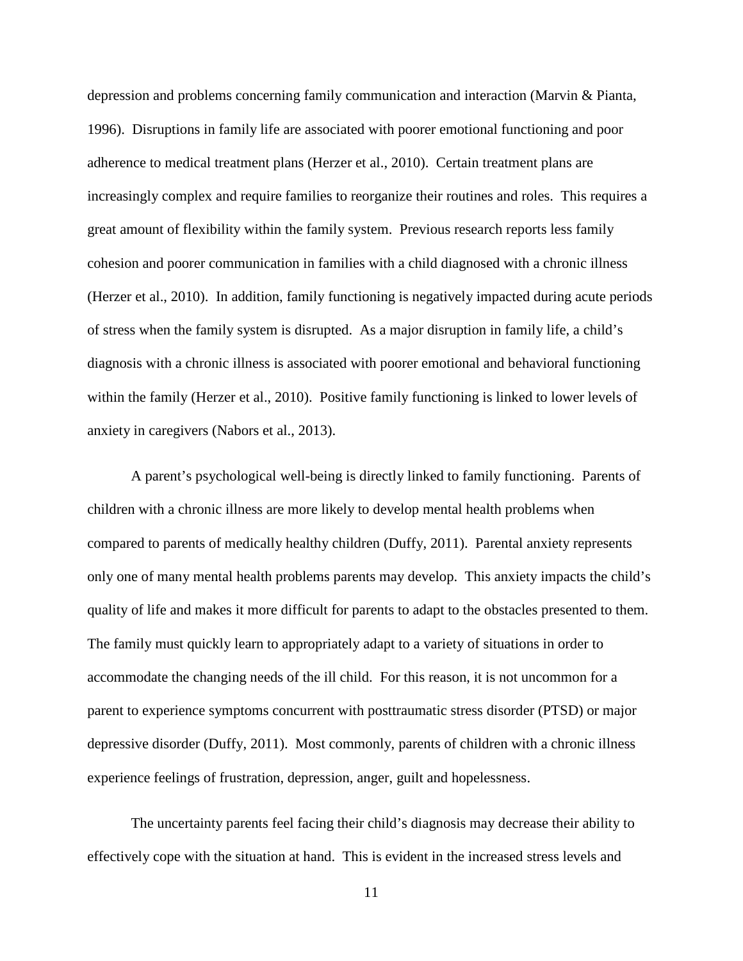depression and problems concerning family communication and interaction (Marvin & Pianta, 1996). Disruptions in family life are associated with poorer emotional functioning and poor adherence to medical treatment plans (Herzer et al., 2010). Certain treatment plans are increasingly complex and require families to reorganize their routines and roles. This requires a great amount of flexibility within the family system. Previous research reports less family cohesion and poorer communication in families with a child diagnosed with a chronic illness (Herzer et al., 2010). In addition, family functioning is negatively impacted during acute periods of stress when the family system is disrupted. As a major disruption in family life, a child's diagnosis with a chronic illness is associated with poorer emotional and behavioral functioning within the family (Herzer et al., 2010). Positive family functioning is linked to lower levels of anxiety in caregivers (Nabors et al., 2013).

A parent's psychological well-being is directly linked to family functioning. Parents of children with a chronic illness are more likely to develop mental health problems when compared to parents of medically healthy children (Duffy, 2011). Parental anxiety represents only one of many mental health problems parents may develop. This anxiety impacts the child's quality of life and makes it more difficult for parents to adapt to the obstacles presented to them. The family must quickly learn to appropriately adapt to a variety of situations in order to accommodate the changing needs of the ill child. For this reason, it is not uncommon for a parent to experience symptoms concurrent with posttraumatic stress disorder (PTSD) or major depressive disorder (Duffy, 2011). Most commonly, parents of children with a chronic illness experience feelings of frustration, depression, anger, guilt and hopelessness.

The uncertainty parents feel facing their child's diagnosis may decrease their ability to effectively cope with the situation at hand. This is evident in the increased stress levels and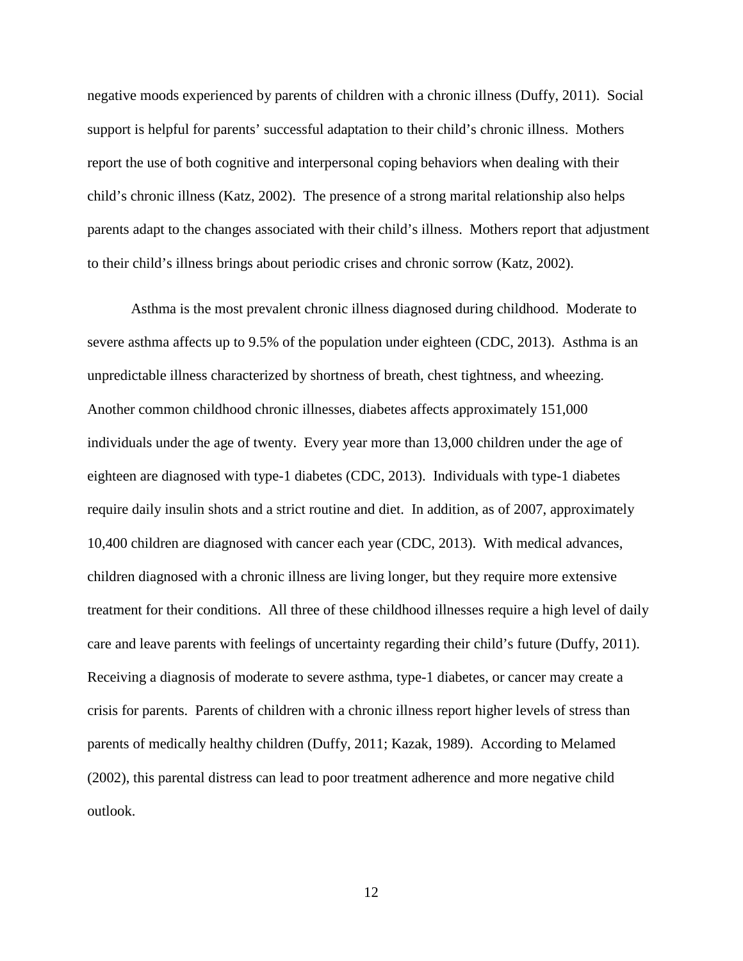negative moods experienced by parents of children with a chronic illness (Duffy, 2011). Social support is helpful for parents' successful adaptation to their child's chronic illness. Mothers report the use of both cognitive and interpersonal coping behaviors when dealing with their child's chronic illness (Katz, 2002). The presence of a strong marital relationship also helps parents adapt to the changes associated with their child's illness. Mothers report that adjustment to their child's illness brings about periodic crises and chronic sorrow (Katz, 2002).

Asthma is the most prevalent chronic illness diagnosed during childhood. Moderate to severe asthma affects up to 9.5% of the population under eighteen (CDC, 2013). Asthma is an unpredictable illness characterized by shortness of breath, chest tightness, and wheezing. Another common childhood chronic illnesses, diabetes affects approximately 151,000 individuals under the age of twenty. Every year more than 13,000 children under the age of eighteen are diagnosed with type-1 diabetes (CDC, 2013). Individuals with type-1 diabetes require daily insulin shots and a strict routine and diet. In addition, as of 2007, approximately 10,400 children are diagnosed with cancer each year (CDC, 2013). With medical advances, children diagnosed with a chronic illness are living longer, but they require more extensive treatment for their conditions. All three of these childhood illnesses require a high level of daily care and leave parents with feelings of uncertainty regarding their child's future (Duffy, 2011). Receiving a diagnosis of moderate to severe asthma, type-1 diabetes, or cancer may create a crisis for parents. Parents of children with a chronic illness report higher levels of stress than parents of medically healthy children (Duffy, 2011; Kazak, 1989). According to Melamed (2002), this parental distress can lead to poor treatment adherence and more negative child outlook.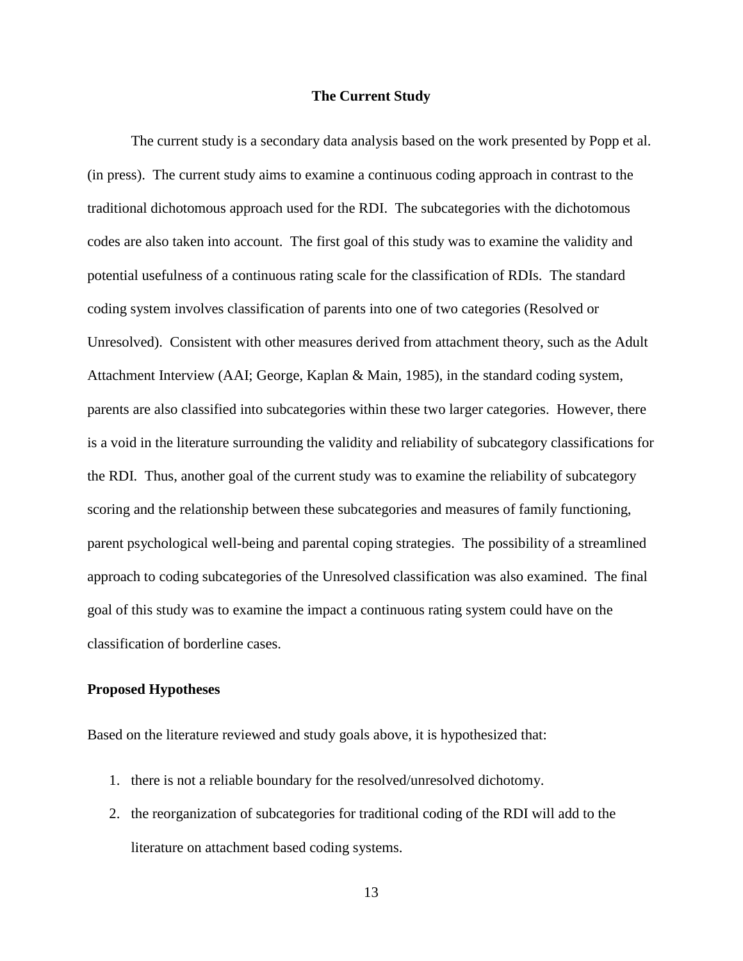#### **The Current Study**

The current study is a secondary data analysis based on the work presented by Popp et al. (in press). The current study aims to examine a continuous coding approach in contrast to the traditional dichotomous approach used for the RDI. The subcategories with the dichotomous codes are also taken into account. The first goal of this study was to examine the validity and potential usefulness of a continuous rating scale for the classification of RDIs. The standard coding system involves classification of parents into one of two categories (Resolved or Unresolved). Consistent with other measures derived from attachment theory, such as the Adult Attachment Interview (AAI; George, Kaplan & Main, 1985), in the standard coding system, parents are also classified into subcategories within these two larger categories. However, there is a void in the literature surrounding the validity and reliability of subcategory classifications for the RDI. Thus, another goal of the current study was to examine the reliability of subcategory scoring and the relationship between these subcategories and measures of family functioning, parent psychological well-being and parental coping strategies. The possibility of a streamlined approach to coding subcategories of the Unresolved classification was also examined. The final goal of this study was to examine the impact a continuous rating system could have on the classification of borderline cases.

#### **Proposed Hypotheses**

Based on the literature reviewed and study goals above, it is hypothesized that:

- 1. there is not a reliable boundary for the resolved/unresolved dichotomy.
- 2. the reorganization of subcategories for traditional coding of the RDI will add to the literature on attachment based coding systems.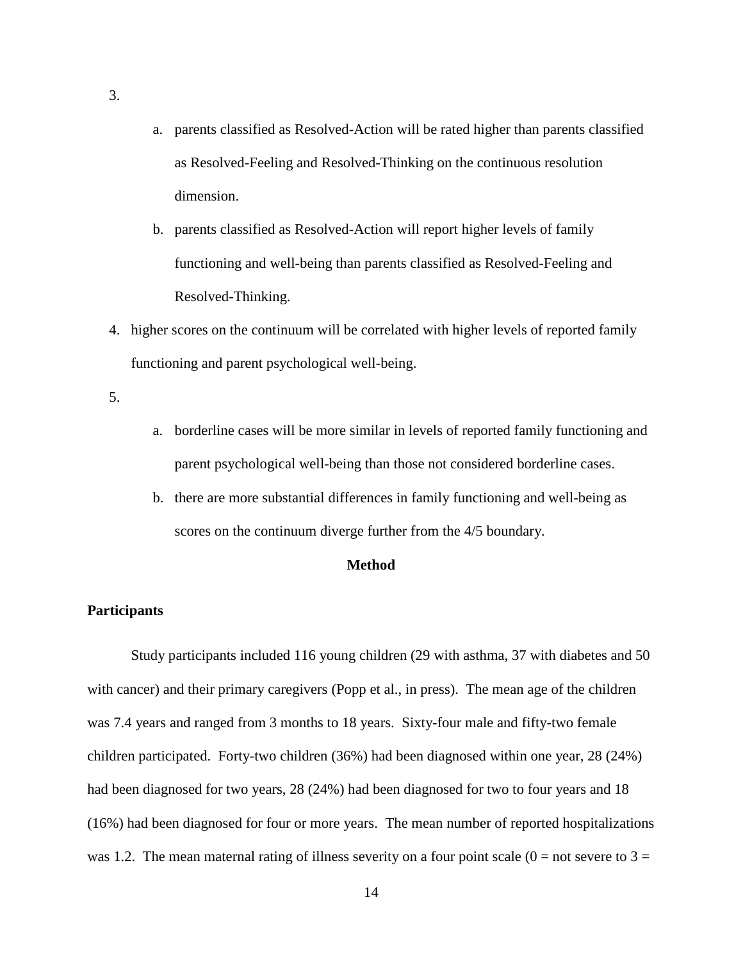- a. parents classified as Resolved-Action will be rated higher than parents classified as Resolved-Feeling and Resolved-Thinking on the continuous resolution dimension.
- b. parents classified as Resolved-Action will report higher levels of family functioning and well-being than parents classified as Resolved-Feeling and Resolved-Thinking.
- 4. higher scores on the continuum will be correlated with higher levels of reported family functioning and parent psychological well-being.
- 5.
- a. borderline cases will be more similar in levels of reported family functioning and parent psychological well-being than those not considered borderline cases.
- b. there are more substantial differences in family functioning and well-being as scores on the continuum diverge further from the 4/5 boundary.

#### **Method**

#### **Participants**

Study participants included 116 young children (29 with asthma, 37 with diabetes and 50 with cancer) and their primary caregivers (Popp et al., in press). The mean age of the children was 7.4 years and ranged from 3 months to 18 years. Sixty-four male and fifty-two female children participated. Forty-two children (36%) had been diagnosed within one year, 28 (24%) had been diagnosed for two years, 28 (24%) had been diagnosed for two to four years and 18 (16%) had been diagnosed for four or more years. The mean number of reported hospitalizations was 1.2. The mean maternal rating of illness severity on a four point scale ( $0 = not$  severe to  $3 =$ 

3.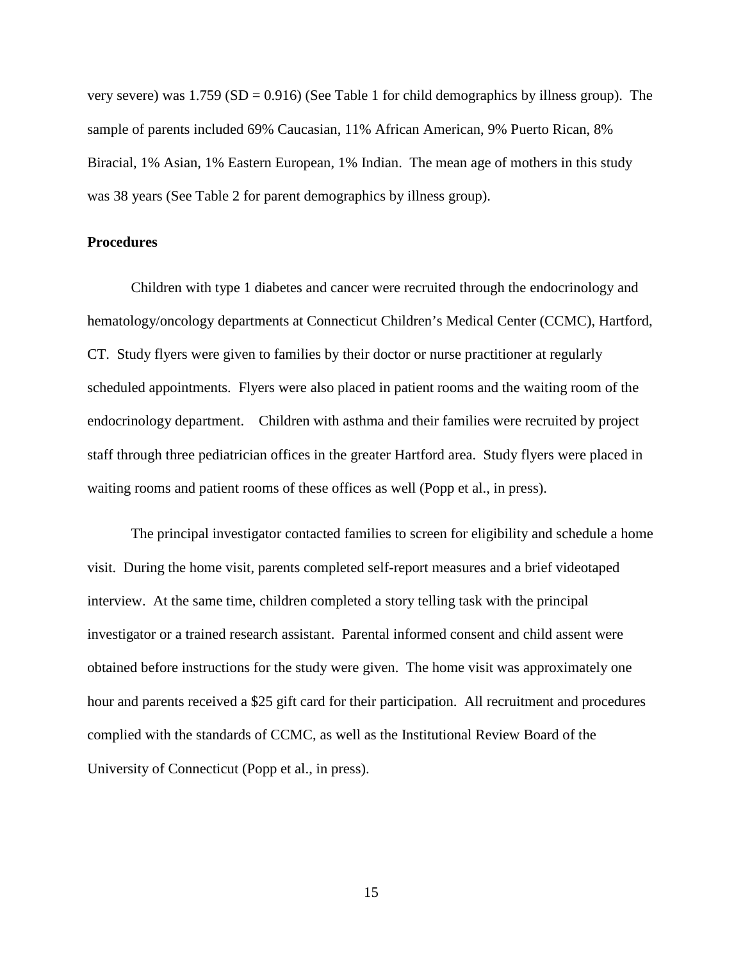very severe) was  $1.759$  (SD = 0.916) (See Table 1 for child demographics by illness group). The sample of parents included 69% Caucasian, 11% African American, 9% Puerto Rican, 8% Biracial, 1% Asian, 1% Eastern European, 1% Indian. The mean age of mothers in this study was 38 years (See Table 2 for parent demographics by illness group).

#### **Procedures**

Children with type 1 diabetes and cancer were recruited through the endocrinology and hematology/oncology departments at Connecticut Children's Medical Center (CCMC), Hartford, CT. Study flyers were given to families by their doctor or nurse practitioner at regularly scheduled appointments. Flyers were also placed in patient rooms and the waiting room of the endocrinology department. Children with asthma and their families were recruited by project staff through three pediatrician offices in the greater Hartford area. Study flyers were placed in waiting rooms and patient rooms of these offices as well (Popp et al., in press).

The principal investigator contacted families to screen for eligibility and schedule a home visit. During the home visit, parents completed self-report measures and a brief videotaped interview. At the same time, children completed a story telling task with the principal investigator or a trained research assistant. Parental informed consent and child assent were obtained before instructions for the study were given. The home visit was approximately one hour and parents received a \$25 gift card for their participation. All recruitment and procedures complied with the standards of CCMC, as well as the Institutional Review Board of the University of Connecticut (Popp et al., in press).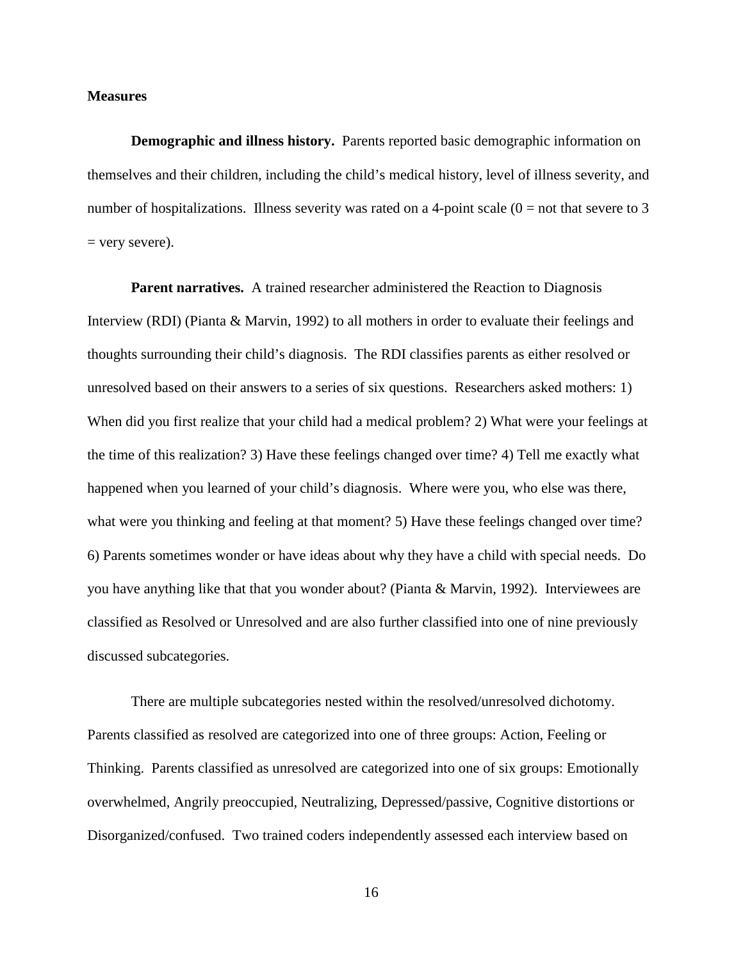#### **Measures**

**Demographic and illness history.** Parents reported basic demographic information on themselves and their children, including the child's medical history, level of illness severity, and number of hospitalizations. Illness severity was rated on a 4-point scale  $(0 = not that severe to 3)$  $=$  very severe).

**Parent narratives.** A trained researcher administered the Reaction to Diagnosis Interview (RDI) (Pianta & Marvin, 1992) to all mothers in order to evaluate their feelings and thoughts surrounding their child's diagnosis. The RDI classifies parents as either resolved or unresolved based on their answers to a series of six questions. Researchers asked mothers: 1) When did you first realize that your child had a medical problem? 2) What were your feelings at the time of this realization? 3) Have these feelings changed over time? 4) Tell me exactly what happened when you learned of your child's diagnosis. Where were you, who else was there, what were you thinking and feeling at that moment? 5) Have these feelings changed over time? 6) Parents sometimes wonder or have ideas about why they have a child with special needs. Do you have anything like that that you wonder about? (Pianta & Marvin, 1992). Interviewees are classified as Resolved or Unresolved and are also further classified into one of nine previously discussed subcategories.

There are multiple subcategories nested within the resolved/unresolved dichotomy. Parents classified as resolved are categorized into one of three groups: Action, Feeling or Thinking. Parents classified as unresolved are categorized into one of six groups: Emotionally overwhelmed, Angrily preoccupied, Neutralizing, Depressed/passive, Cognitive distortions or Disorganized/confused. Two trained coders independently assessed each interview based on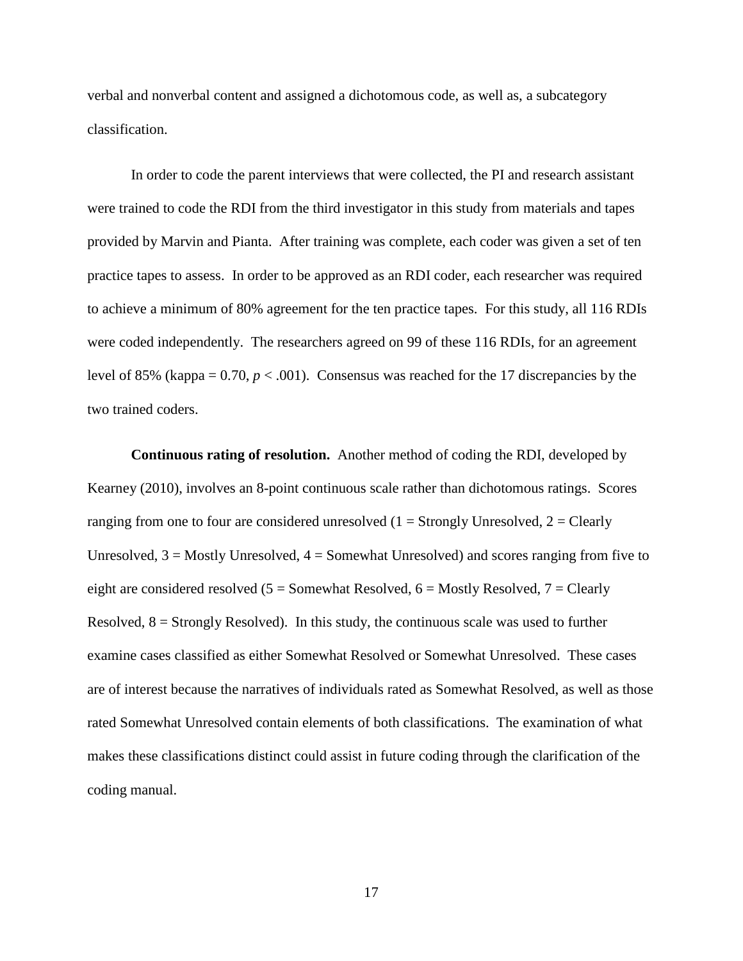verbal and nonverbal content and assigned a dichotomous code, as well as, a subcategory classification.

In order to code the parent interviews that were collected, the PI and research assistant were trained to code the RDI from the third investigator in this study from materials and tapes provided by Marvin and Pianta. After training was complete, each coder was given a set of ten practice tapes to assess. In order to be approved as an RDI coder, each researcher was required to achieve a minimum of 80% agreement for the ten practice tapes. For this study, all 116 RDIs were coded independently. The researchers agreed on 99 of these 116 RDIs, for an agreement level of 85% (kappa =  $0.70$ ,  $p < .001$ ). Consensus was reached for the 17 discrepancies by the two trained coders.

**Continuous rating of resolution.** Another method of coding the RDI, developed by Kearney (2010), involves an 8-point continuous scale rather than dichotomous ratings. Scores ranging from one to four are considered unresolved  $(1 = \text{Strongly Unresolved}, 2 = \text{Clearly}$ Unresolved,  $3 =$  Mostly Unresolved,  $4 =$  Somewhat Unresolved) and scores ranging from five to eight are considered resolved ( $5 =$  Somewhat Resolved,  $6 =$  Mostly Resolved,  $7 =$  Clearly Resolved,  $8 =$  Strongly Resolved). In this study, the continuous scale was used to further examine cases classified as either Somewhat Resolved or Somewhat Unresolved. These cases are of interest because the narratives of individuals rated as Somewhat Resolved, as well as those rated Somewhat Unresolved contain elements of both classifications. The examination of what makes these classifications distinct could assist in future coding through the clarification of the coding manual.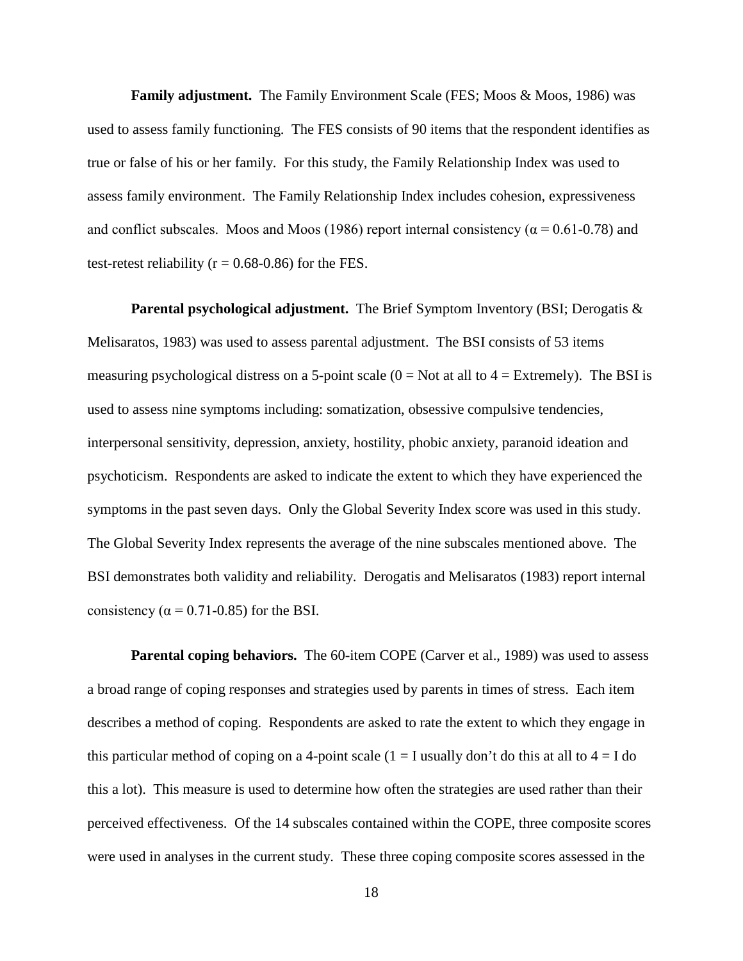**Family adjustment.** The Family Environment Scale (FES; Moos & Moos, 1986) was used to assess family functioning. The FES consists of 90 items that the respondent identifies as true or false of his or her family. For this study, the Family Relationship Index was used to assess family environment. The Family Relationship Index includes cohesion, expressiveness and conflict subscales. Moos and Moos (1986) report internal consistency ( $\alpha$  = 0.61-0.78) and test-retest reliability ( $r = 0.68 - 0.86$ ) for the FES.

**Parental psychological adjustment.** The Brief Symptom Inventory (BSI; Derogatis & Melisaratos, 1983) was used to assess parental adjustment. The BSI consists of 53 items measuring psychological distress on a 5-point scale  $(0 = Not at all to 4 = Extremely)$ . The BSI is used to assess nine symptoms including: somatization, obsessive compulsive tendencies, interpersonal sensitivity, depression, anxiety, hostility, phobic anxiety, paranoid ideation and psychoticism. Respondents are asked to indicate the extent to which they have experienced the symptoms in the past seven days. Only the Global Severity Index score was used in this study. The Global Severity Index represents the average of the nine subscales mentioned above. The BSI demonstrates both validity and reliability. Derogatis and Melisaratos (1983) report internal consistency ( $\alpha$  = 0.71-0.85) for the BSI.

**Parental coping behaviors.** The 60-item COPE (Carver et al., 1989) was used to assess a broad range of coping responses and strategies used by parents in times of stress. Each item describes a method of coping. Respondents are asked to rate the extent to which they engage in this particular method of coping on a 4-point scale  $(1 = I$  usually don't do this at all to  $4 = I$  do this a lot). This measure is used to determine how often the strategies are used rather than their perceived effectiveness. Of the 14 subscales contained within the COPE, three composite scores were used in analyses in the current study. These three coping composite scores assessed in the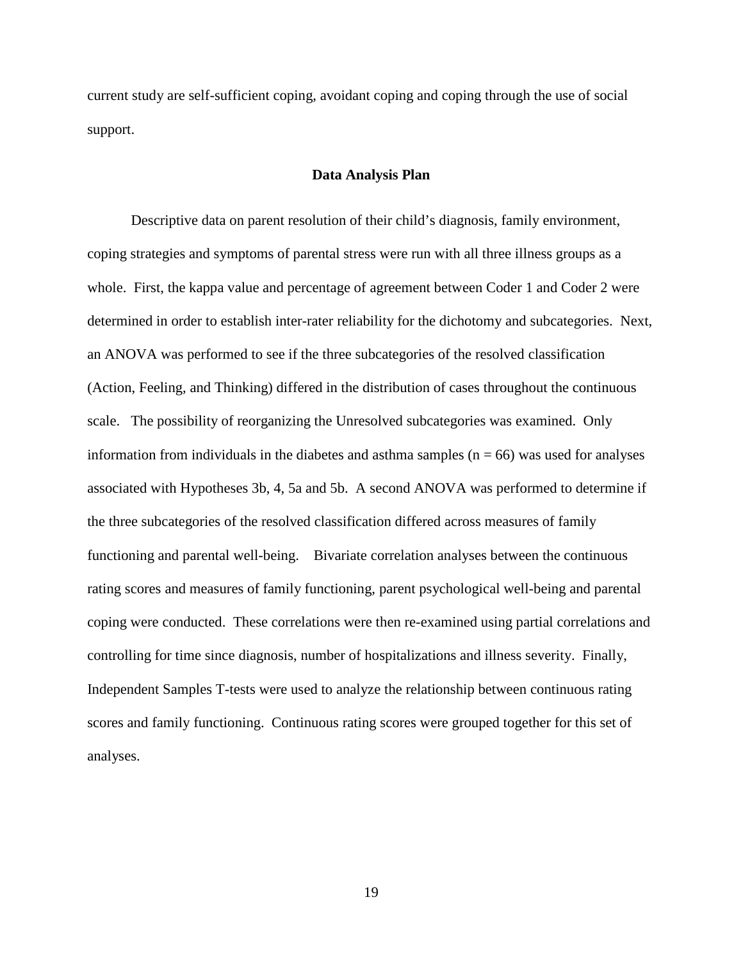current study are self-sufficient coping, avoidant coping and coping through the use of social support.

#### **Data Analysis Plan**

Descriptive data on parent resolution of their child's diagnosis, family environment, coping strategies and symptoms of parental stress were run with all three illness groups as a whole. First, the kappa value and percentage of agreement between Coder 1 and Coder 2 were determined in order to establish inter-rater reliability for the dichotomy and subcategories. Next, an ANOVA was performed to see if the three subcategories of the resolved classification (Action, Feeling, and Thinking) differed in the distribution of cases throughout the continuous scale. The possibility of reorganizing the Unresolved subcategories was examined. Only information from individuals in the diabetes and asthma samples ( $n = 66$ ) was used for analyses associated with Hypotheses 3b, 4, 5a and 5b. A second ANOVA was performed to determine if the three subcategories of the resolved classification differed across measures of family functioning and parental well-being. Bivariate correlation analyses between the continuous rating scores and measures of family functioning, parent psychological well-being and parental coping were conducted. These correlations were then re-examined using partial correlations and controlling for time since diagnosis, number of hospitalizations and illness severity. Finally, Independent Samples T-tests were used to analyze the relationship between continuous rating scores and family functioning. Continuous rating scores were grouped together for this set of analyses.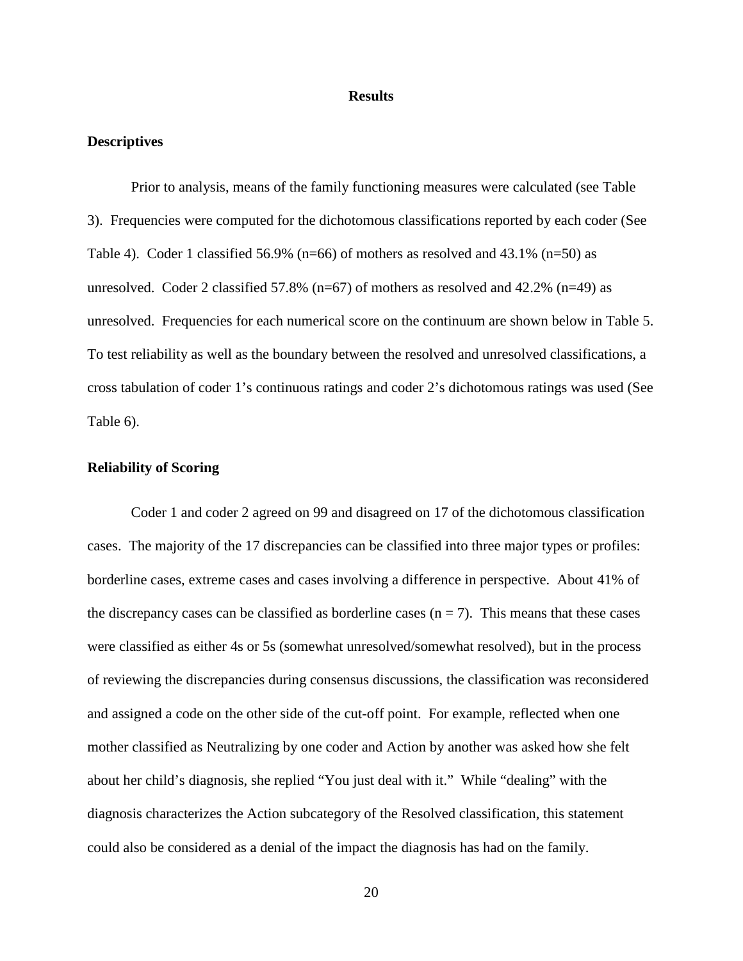#### **Results**

#### **Descriptives**

Prior to analysis, means of the family functioning measures were calculated (see Table 3). Frequencies were computed for the dichotomous classifications reported by each coder (See Table 4). Coder 1 classified 56.9% (n=66) of mothers as resolved and  $43.1\%$  (n=50) as unresolved. Coder 2 classified 57.8% ( $n=67$ ) of mothers as resolved and 42.2% ( $n=49$ ) as unresolved. Frequencies for each numerical score on the continuum are shown below in Table 5. To test reliability as well as the boundary between the resolved and unresolved classifications, a cross tabulation of coder 1's continuous ratings and coder 2's dichotomous ratings was used (See Table 6).

#### **Reliability of Scoring**

Coder 1 and coder 2 agreed on 99 and disagreed on 17 of the dichotomous classification cases. The majority of the 17 discrepancies can be classified into three major types or profiles: borderline cases, extreme cases and cases involving a difference in perspective. About 41% of the discrepancy cases can be classified as borderline cases  $(n = 7)$ . This means that these cases were classified as either 4s or 5s (somewhat unresolved/somewhat resolved), but in the process of reviewing the discrepancies during consensus discussions, the classification was reconsidered and assigned a code on the other side of the cut-off point. For example, reflected when one mother classified as Neutralizing by one coder and Action by another was asked how she felt about her child's diagnosis, she replied "You just deal with it." While "dealing" with the diagnosis characterizes the Action subcategory of the Resolved classification, this statement could also be considered as a denial of the impact the diagnosis has had on the family.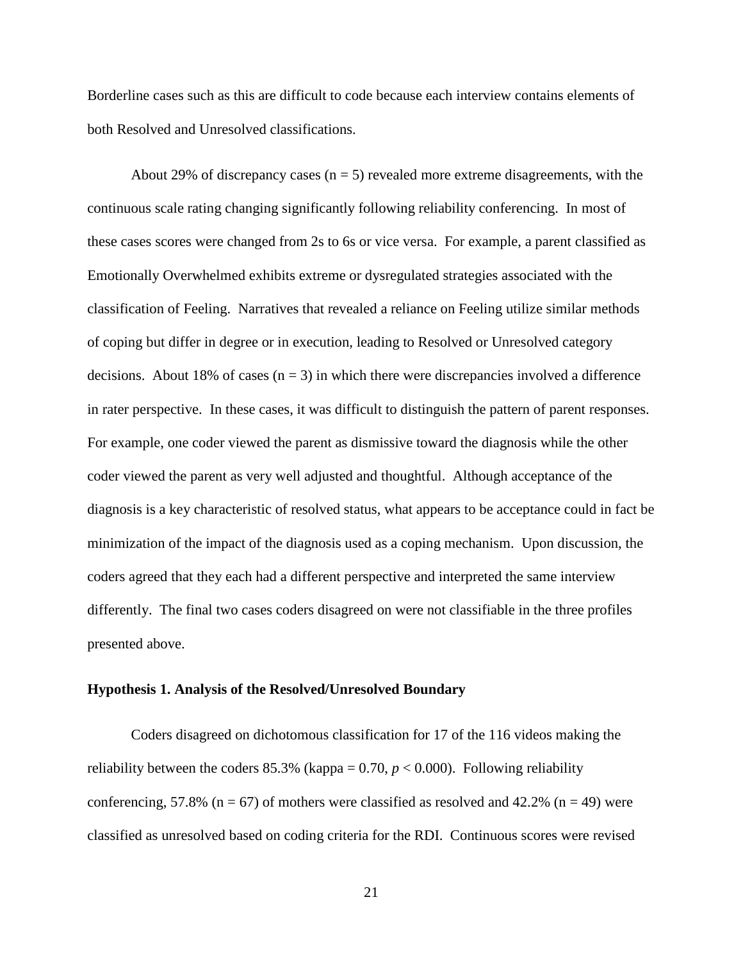Borderline cases such as this are difficult to code because each interview contains elements of both Resolved and Unresolved classifications.

About 29% of discrepancy cases  $(n = 5)$  revealed more extreme disagreements, with the continuous scale rating changing significantly following reliability conferencing. In most of these cases scores were changed from 2s to 6s or vice versa. For example, a parent classified as Emotionally Overwhelmed exhibits extreme or dysregulated strategies associated with the classification of Feeling. Narratives that revealed a reliance on Feeling utilize similar methods of coping but differ in degree or in execution, leading to Resolved or Unresolved category decisions. About 18% of cases  $(n = 3)$  in which there were discrepancies involved a difference in rater perspective. In these cases, it was difficult to distinguish the pattern of parent responses. For example, one coder viewed the parent as dismissive toward the diagnosis while the other coder viewed the parent as very well adjusted and thoughtful. Although acceptance of the diagnosis is a key characteristic of resolved status, what appears to be acceptance could in fact be minimization of the impact of the diagnosis used as a coping mechanism. Upon discussion, the coders agreed that they each had a different perspective and interpreted the same interview differently. The final two cases coders disagreed on were not classifiable in the three profiles presented above.

#### **Hypothesis 1. Analysis of the Resolved/Unresolved Boundary**

Coders disagreed on dichotomous classification for 17 of the 116 videos making the reliability between the coders  $85.3\%$  (kappa = 0.70,  $p < 0.000$ ). Following reliability conferencing, 57.8% ( $n = 67$ ) of mothers were classified as resolved and 42.2% ( $n = 49$ ) were classified as unresolved based on coding criteria for the RDI. Continuous scores were revised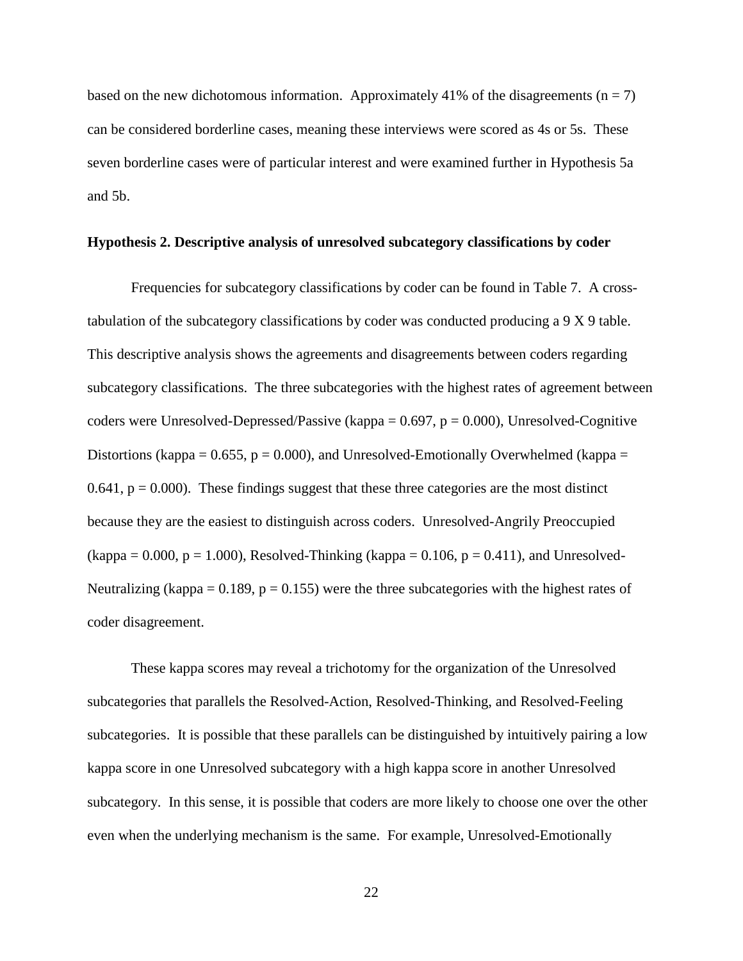based on the new dichotomous information. Approximately 41% of the disagreements ( $n = 7$ ) can be considered borderline cases, meaning these interviews were scored as 4s or 5s. These seven borderline cases were of particular interest and were examined further in Hypothesis 5a and 5b.

#### **Hypothesis 2. Descriptive analysis of unresolved subcategory classifications by coder**

Frequencies for subcategory classifications by coder can be found in Table 7. A crosstabulation of the subcategory classifications by coder was conducted producing a 9 X 9 table. This descriptive analysis shows the agreements and disagreements between coders regarding subcategory classifications. The three subcategories with the highest rates of agreement between coders were Unresolved-Depressed/Passive (kappa =  $0.697$ , p =  $0.000$ ), Unresolved-Cognitive Distortions (kappa =  $0.655$ , p =  $0.000$ ), and Unresolved-Emotionally Overwhelmed (kappa = 0.641,  $p = 0.000$ . These findings suggest that these three categories are the most distinct because they are the easiest to distinguish across coders. Unresolved-Angrily Preoccupied  $(kappa = 0.000, p = 1.000)$ , Resolved-Thinking  $(kappa = 0.106, p = 0.411)$ , and Unresolved-Neutralizing (kappa =  $0.189$ , p =  $0.155$ ) were the three subcategories with the highest rates of coder disagreement.

These kappa scores may reveal a trichotomy for the organization of the Unresolved subcategories that parallels the Resolved-Action, Resolved-Thinking, and Resolved-Feeling subcategories. It is possible that these parallels can be distinguished by intuitively pairing a low kappa score in one Unresolved subcategory with a high kappa score in another Unresolved subcategory. In this sense, it is possible that coders are more likely to choose one over the other even when the underlying mechanism is the same. For example, Unresolved-Emotionally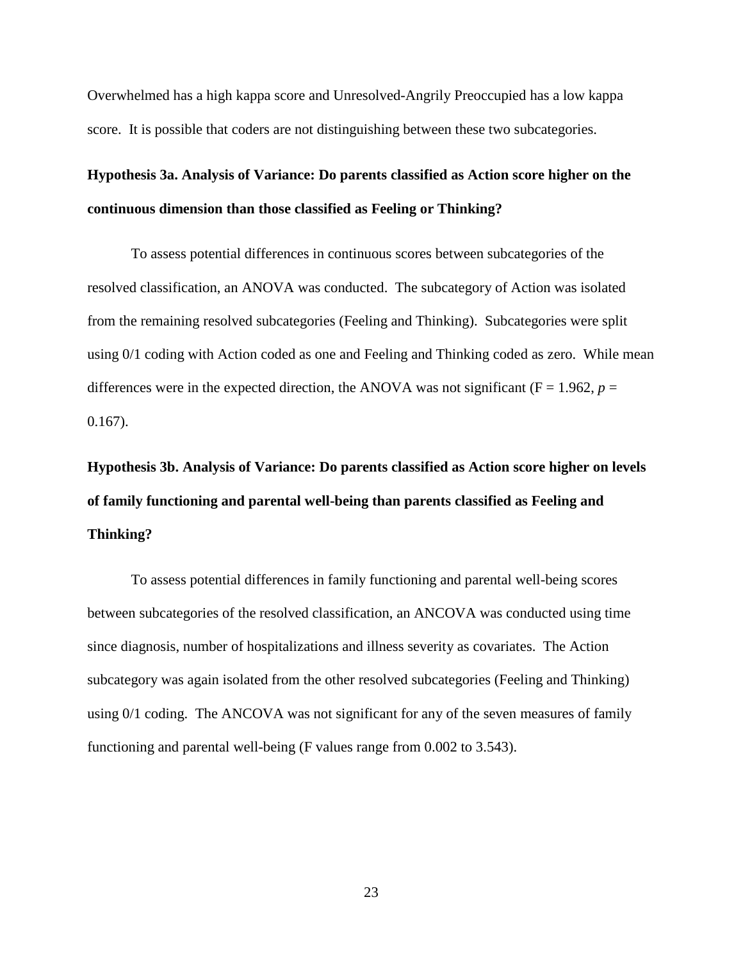Overwhelmed has a high kappa score and Unresolved-Angrily Preoccupied has a low kappa score. It is possible that coders are not distinguishing between these two subcategories.

# **Hypothesis 3a. Analysis of Variance: Do parents classified as Action score higher on the continuous dimension than those classified as Feeling or Thinking?**

To assess potential differences in continuous scores between subcategories of the resolved classification, an ANOVA was conducted. The subcategory of Action was isolated from the remaining resolved subcategories (Feeling and Thinking). Subcategories were split using 0/1 coding with Action coded as one and Feeling and Thinking coded as zero. While mean differences were in the expected direction, the ANOVA was not significant ( $F = 1.962$ ,  $p =$ 0.167).

**Hypothesis 3b. Analysis of Variance: Do parents classified as Action score higher on levels of family functioning and parental well-being than parents classified as Feeling and Thinking?**

To assess potential differences in family functioning and parental well-being scores between subcategories of the resolved classification, an ANCOVA was conducted using time since diagnosis, number of hospitalizations and illness severity as covariates. The Action subcategory was again isolated from the other resolved subcategories (Feeling and Thinking) using 0/1 coding. The ANCOVA was not significant for any of the seven measures of family functioning and parental well-being (F values range from 0.002 to 3.543).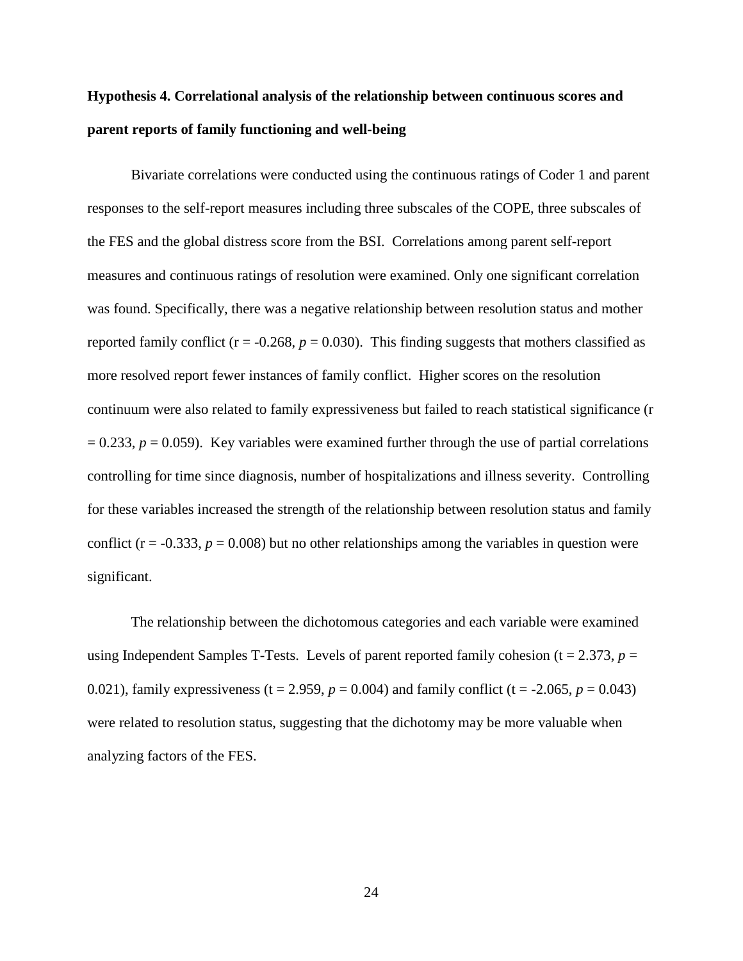# **Hypothesis 4. Correlational analysis of the relationship between continuous scores and parent reports of family functioning and well-being**

Bivariate correlations were conducted using the continuous ratings of Coder 1 and parent responses to the self-report measures including three subscales of the COPE, three subscales of the FES and the global distress score from the BSI. Correlations among parent self-report measures and continuous ratings of resolution were examined. Only one significant correlation was found. Specifically, there was a negative relationship between resolution status and mother reported family conflict ( $r = -0.268$ ,  $p = 0.030$ ). This finding suggests that mothers classified as more resolved report fewer instances of family conflict. Higher scores on the resolution continuum were also related to family expressiveness but failed to reach statistical significance (r  $= 0.233$ ,  $p = 0.059$ ). Key variables were examined further through the use of partial correlations controlling for time since diagnosis, number of hospitalizations and illness severity. Controlling for these variables increased the strength of the relationship between resolution status and family conflict ( $r = -0.333$ ,  $p = 0.008$ ) but no other relationships among the variables in question were significant.

The relationship between the dichotomous categories and each variable were examined using Independent Samples T-Tests. Levels of parent reported family cohesion  $(t = 2.373, p =$ 0.021), family expressiveness (t = 2.959,  $p = 0.004$ ) and family conflict (t = -2.065,  $p = 0.043$ ) were related to resolution status, suggesting that the dichotomy may be more valuable when analyzing factors of the FES.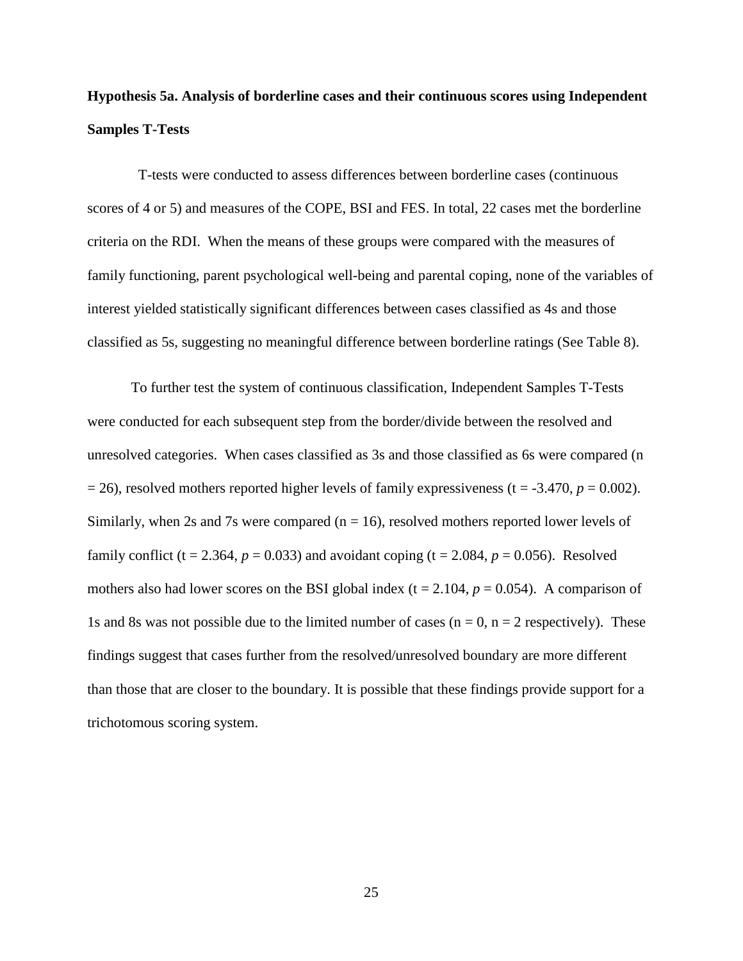# **Hypothesis 5a. Analysis of borderline cases and their continuous scores using Independent Samples T-Tests**

 T-tests were conducted to assess differences between borderline cases (continuous scores of 4 or 5) and measures of the COPE, BSI and FES. In total, 22 cases met the borderline criteria on the RDI. When the means of these groups were compared with the measures of family functioning, parent psychological well-being and parental coping, none of the variables of interest yielded statistically significant differences between cases classified as 4s and those classified as 5s, suggesting no meaningful difference between borderline ratings (See Table 8).

To further test the system of continuous classification, Independent Samples T-Tests were conducted for each subsequent step from the border/divide between the resolved and unresolved categories. When cases classified as 3s and those classified as 6s were compared (n  $= 26$ ), resolved mothers reported higher levels of family expressiveness (t =  $-3.470$ ,  $p = 0.002$ ). Similarly, when 2s and 7s were compared  $(n = 16)$ , resolved mothers reported lower levels of family conflict (t = 2.364,  $p = 0.033$ ) and avoidant coping (t = 2.084,  $p = 0.056$ ). Resolved mothers also had lower scores on the BSI global index ( $t = 2.104$ ,  $p = 0.054$ ). A comparison of 1s and 8s was not possible due to the limited number of cases ( $n = 0$ ,  $n = 2$  respectively). These findings suggest that cases further from the resolved/unresolved boundary are more different than those that are closer to the boundary. It is possible that these findings provide support for a trichotomous scoring system.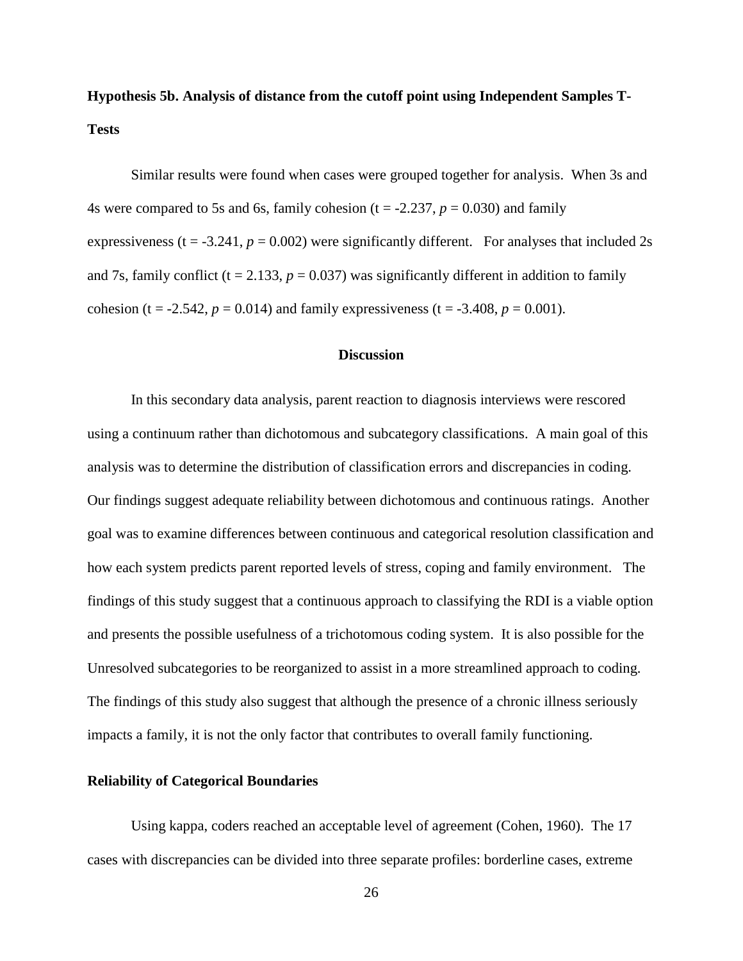**Hypothesis 5b. Analysis of distance from the cutoff point using Independent Samples T-Tests**

Similar results were found when cases were grouped together for analysis. When 3s and 4s were compared to 5s and 6s, family cohesion  $(t = -2.237, p = 0.030)$  and family expressiveness ( $t = -3.241$ ,  $p = 0.002$ ) were significantly different. For analyses that included 2s and 7s, family conflict (t = 2.133,  $p = 0.037$ ) was significantly different in addition to family cohesion (t = -2.542,  $p = 0.014$ ) and family expressiveness (t = -3.408,  $p = 0.001$ ).

#### **Discussion**

In this secondary data analysis, parent reaction to diagnosis interviews were rescored using a continuum rather than dichotomous and subcategory classifications. A main goal of this analysis was to determine the distribution of classification errors and discrepancies in coding. Our findings suggest adequate reliability between dichotomous and continuous ratings. Another goal was to examine differences between continuous and categorical resolution classification and how each system predicts parent reported levels of stress, coping and family environment. The findings of this study suggest that a continuous approach to classifying the RDI is a viable option and presents the possible usefulness of a trichotomous coding system. It is also possible for the Unresolved subcategories to be reorganized to assist in a more streamlined approach to coding. The findings of this study also suggest that although the presence of a chronic illness seriously impacts a family, it is not the only factor that contributes to overall family functioning.

#### **Reliability of Categorical Boundaries**

Using kappa, coders reached an acceptable level of agreement (Cohen, 1960). The 17 cases with discrepancies can be divided into three separate profiles: borderline cases, extreme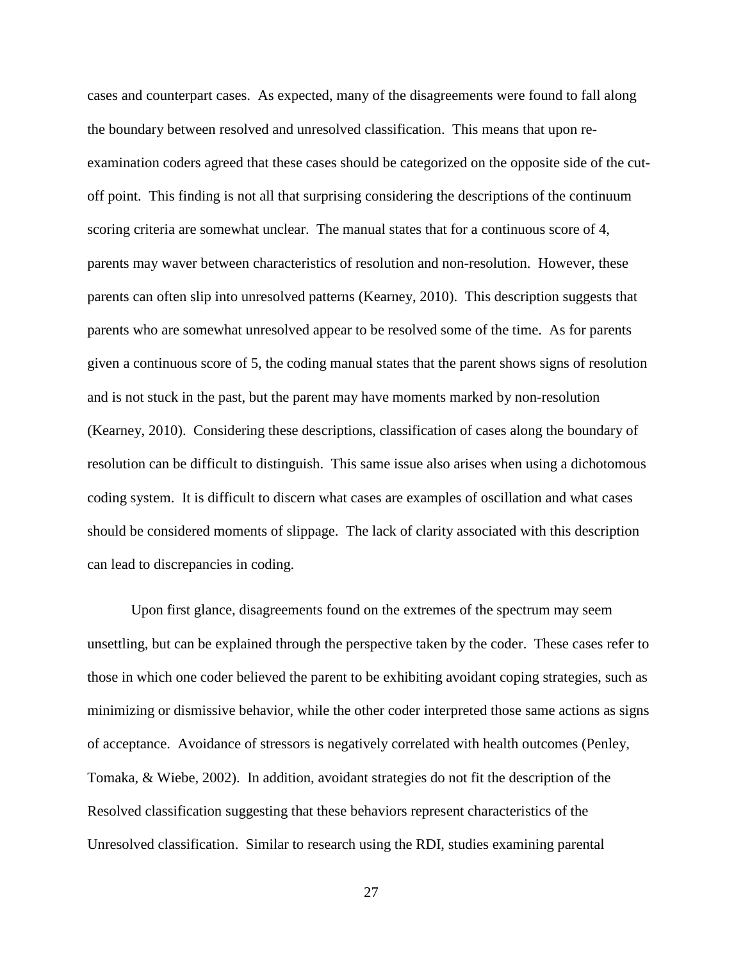cases and counterpart cases. As expected, many of the disagreements were found to fall along the boundary between resolved and unresolved classification. This means that upon reexamination coders agreed that these cases should be categorized on the opposite side of the cutoff point. This finding is not all that surprising considering the descriptions of the continuum scoring criteria are somewhat unclear. The manual states that for a continuous score of 4, parents may waver between characteristics of resolution and non-resolution. However, these parents can often slip into unresolved patterns (Kearney, 2010). This description suggests that parents who are somewhat unresolved appear to be resolved some of the time. As for parents given a continuous score of 5, the coding manual states that the parent shows signs of resolution and is not stuck in the past, but the parent may have moments marked by non-resolution (Kearney, 2010). Considering these descriptions, classification of cases along the boundary of resolution can be difficult to distinguish. This same issue also arises when using a dichotomous coding system. It is difficult to discern what cases are examples of oscillation and what cases should be considered moments of slippage. The lack of clarity associated with this description can lead to discrepancies in coding.

Upon first glance, disagreements found on the extremes of the spectrum may seem unsettling, but can be explained through the perspective taken by the coder. These cases refer to those in which one coder believed the parent to be exhibiting avoidant coping strategies, such as minimizing or dismissive behavior, while the other coder interpreted those same actions as signs of acceptance. Avoidance of stressors is negatively correlated with health outcomes (Penley, Tomaka, & Wiebe, 2002). In addition, avoidant strategies do not fit the description of the Resolved classification suggesting that these behaviors represent characteristics of the Unresolved classification. Similar to research using the RDI, studies examining parental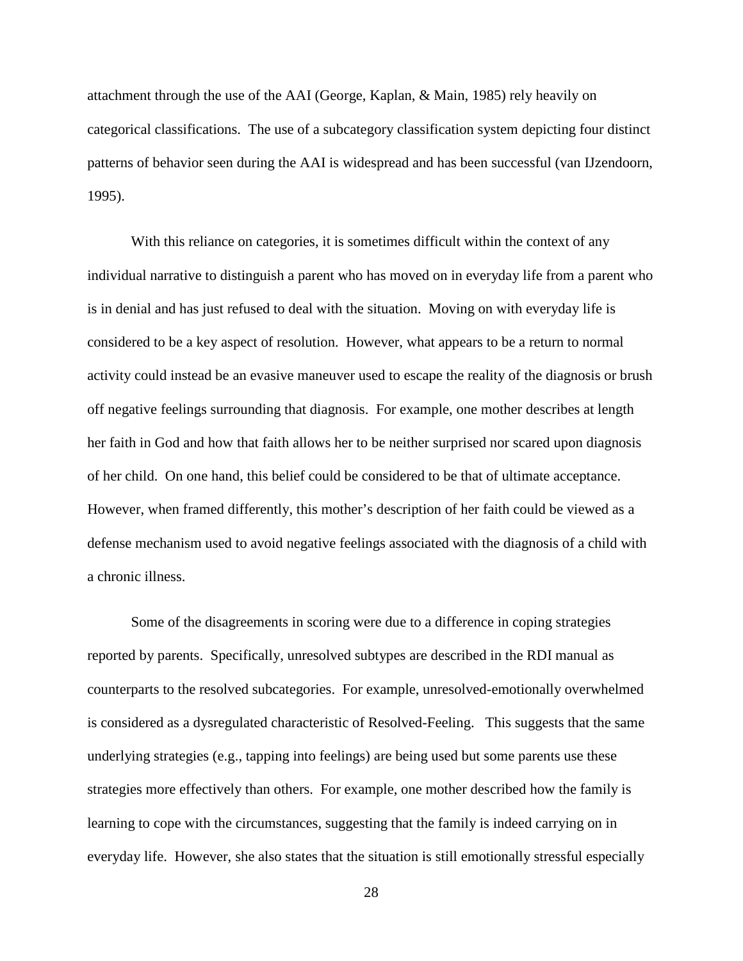attachment through the use of the AAI (George, Kaplan, & Main, 1985) rely heavily on categorical classifications. The use of a subcategory classification system depicting four distinct patterns of behavior seen during the AAI is widespread and has been successful (van IJzendoorn, 1995).

With this reliance on categories, it is sometimes difficult within the context of any individual narrative to distinguish a parent who has moved on in everyday life from a parent who is in denial and has just refused to deal with the situation. Moving on with everyday life is considered to be a key aspect of resolution. However, what appears to be a return to normal activity could instead be an evasive maneuver used to escape the reality of the diagnosis or brush off negative feelings surrounding that diagnosis. For example, one mother describes at length her faith in God and how that faith allows her to be neither surprised nor scared upon diagnosis of her child. On one hand, this belief could be considered to be that of ultimate acceptance. However, when framed differently, this mother's description of her faith could be viewed as a defense mechanism used to avoid negative feelings associated with the diagnosis of a child with a chronic illness.

Some of the disagreements in scoring were due to a difference in coping strategies reported by parents. Specifically, unresolved subtypes are described in the RDI manual as counterparts to the resolved subcategories. For example, unresolved-emotionally overwhelmed is considered as a dysregulated characteristic of Resolved-Feeling. This suggests that the same underlying strategies (e.g., tapping into feelings) are being used but some parents use these strategies more effectively than others. For example, one mother described how the family is learning to cope with the circumstances, suggesting that the family is indeed carrying on in everyday life. However, she also states that the situation is still emotionally stressful especially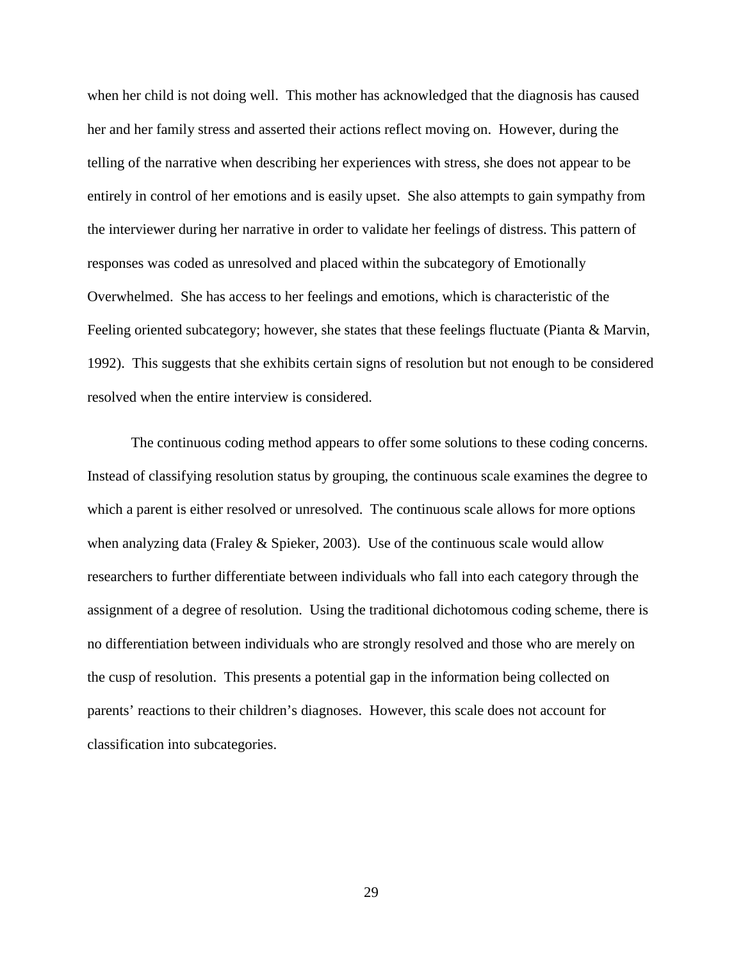when her child is not doing well. This mother has acknowledged that the diagnosis has caused her and her family stress and asserted their actions reflect moving on. However, during the telling of the narrative when describing her experiences with stress, she does not appear to be entirely in control of her emotions and is easily upset. She also attempts to gain sympathy from the interviewer during her narrative in order to validate her feelings of distress. This pattern of responses was coded as unresolved and placed within the subcategory of Emotionally Overwhelmed. She has access to her feelings and emotions, which is characteristic of the Feeling oriented subcategory; however, she states that these feelings fluctuate (Pianta & Marvin, 1992). This suggests that she exhibits certain signs of resolution but not enough to be considered resolved when the entire interview is considered.

The continuous coding method appears to offer some solutions to these coding concerns. Instead of classifying resolution status by grouping, the continuous scale examines the degree to which a parent is either resolved or unresolved. The continuous scale allows for more options when analyzing data (Fraley & Spieker, 2003). Use of the continuous scale would allow researchers to further differentiate between individuals who fall into each category through the assignment of a degree of resolution. Using the traditional dichotomous coding scheme, there is no differentiation between individuals who are strongly resolved and those who are merely on the cusp of resolution. This presents a potential gap in the information being collected on parents' reactions to their children's diagnoses. However, this scale does not account for classification into subcategories.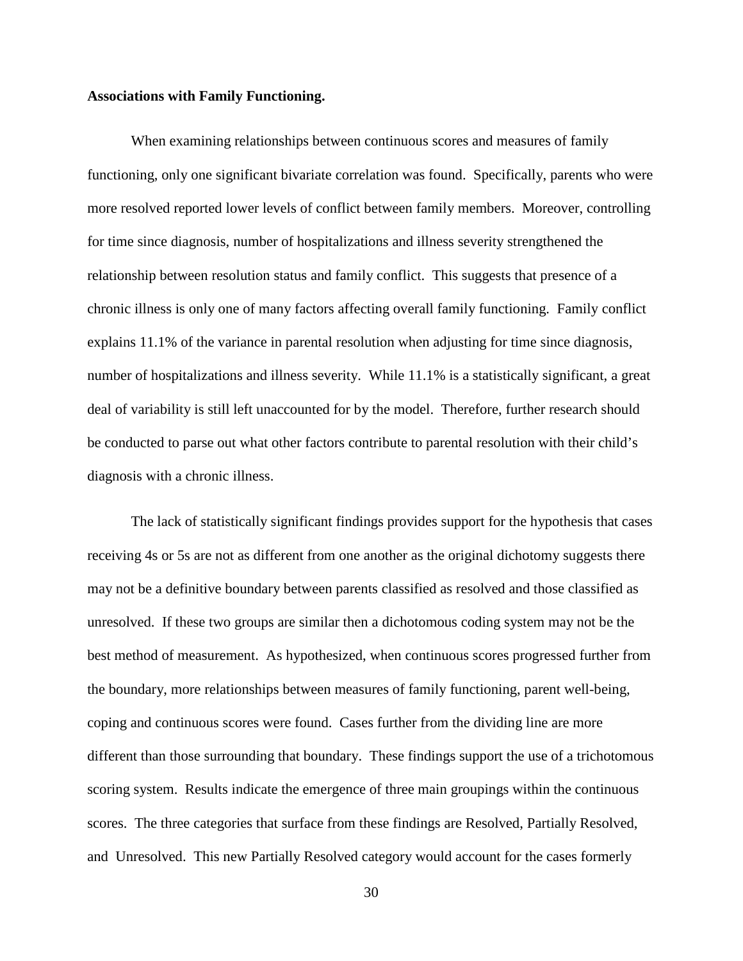#### **Associations with Family Functioning.**

When examining relationships between continuous scores and measures of family functioning, only one significant bivariate correlation was found. Specifically, parents who were more resolved reported lower levels of conflict between family members. Moreover, controlling for time since diagnosis, number of hospitalizations and illness severity strengthened the relationship between resolution status and family conflict. This suggests that presence of a chronic illness is only one of many factors affecting overall family functioning. Family conflict explains 11.1% of the variance in parental resolution when adjusting for time since diagnosis, number of hospitalizations and illness severity. While 11.1% is a statistically significant, a great deal of variability is still left unaccounted for by the model. Therefore, further research should be conducted to parse out what other factors contribute to parental resolution with their child's diagnosis with a chronic illness.

The lack of statistically significant findings provides support for the hypothesis that cases receiving 4s or 5s are not as different from one another as the original dichotomy suggests there may not be a definitive boundary between parents classified as resolved and those classified as unresolved. If these two groups are similar then a dichotomous coding system may not be the best method of measurement. As hypothesized, when continuous scores progressed further from the boundary, more relationships between measures of family functioning, parent well-being, coping and continuous scores were found. Cases further from the dividing line are more different than those surrounding that boundary. These findings support the use of a trichotomous scoring system. Results indicate the emergence of three main groupings within the continuous scores. The three categories that surface from these findings are Resolved, Partially Resolved, and Unresolved. This new Partially Resolved category would account for the cases formerly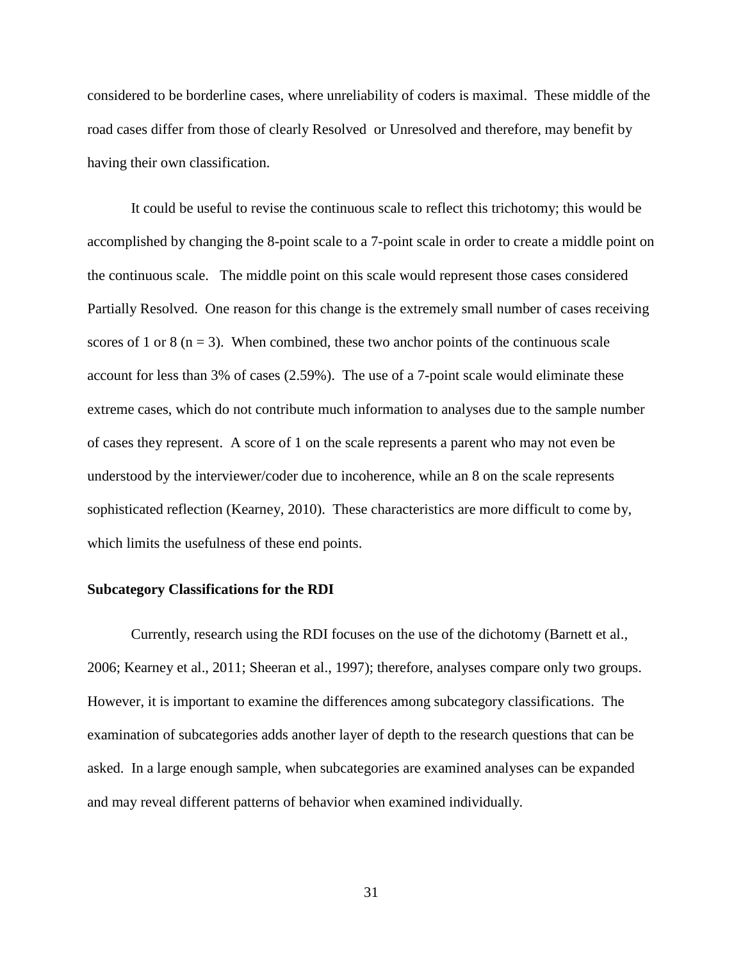considered to be borderline cases, where unreliability of coders is maximal. These middle of the road cases differ from those of clearly Resolved or Unresolved and therefore, may benefit by having their own classification.

It could be useful to revise the continuous scale to reflect this trichotomy; this would be accomplished by changing the 8-point scale to a 7-point scale in order to create a middle point on the continuous scale. The middle point on this scale would represent those cases considered Partially Resolved. One reason for this change is the extremely small number of cases receiving scores of 1 or 8 ( $n = 3$ ). When combined, these two anchor points of the continuous scale account for less than 3% of cases (2.59%). The use of a 7-point scale would eliminate these extreme cases, which do not contribute much information to analyses due to the sample number of cases they represent. A score of 1 on the scale represents a parent who may not even be understood by the interviewer/coder due to incoherence, while an 8 on the scale represents sophisticated reflection (Kearney, 2010). These characteristics are more difficult to come by, which limits the usefulness of these end points.

#### **Subcategory Classifications for the RDI**

Currently, research using the RDI focuses on the use of the dichotomy (Barnett et al., 2006; Kearney et al., 2011; Sheeran et al., 1997); therefore, analyses compare only two groups. However, it is important to examine the differences among subcategory classifications. The examination of subcategories adds another layer of depth to the research questions that can be asked. In a large enough sample, when subcategories are examined analyses can be expanded and may reveal different patterns of behavior when examined individually.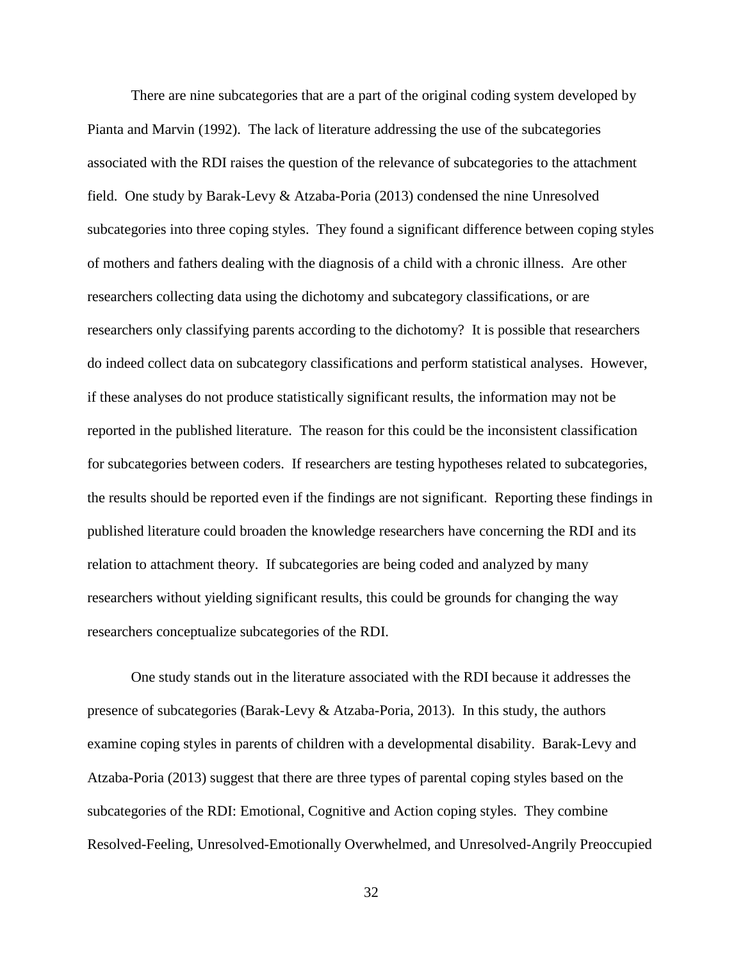There are nine subcategories that are a part of the original coding system developed by Pianta and Marvin (1992). The lack of literature addressing the use of the subcategories associated with the RDI raises the question of the relevance of subcategories to the attachment field. One study by Barak-Levy & Atzaba-Poria (2013) condensed the nine Unresolved subcategories into three coping styles. They found a significant difference between coping styles of mothers and fathers dealing with the diagnosis of a child with a chronic illness. Are other researchers collecting data using the dichotomy and subcategory classifications, or are researchers only classifying parents according to the dichotomy? It is possible that researchers do indeed collect data on subcategory classifications and perform statistical analyses. However, if these analyses do not produce statistically significant results, the information may not be reported in the published literature. The reason for this could be the inconsistent classification for subcategories between coders. If researchers are testing hypotheses related to subcategories, the results should be reported even if the findings are not significant. Reporting these findings in published literature could broaden the knowledge researchers have concerning the RDI and its relation to attachment theory. If subcategories are being coded and analyzed by many researchers without yielding significant results, this could be grounds for changing the way researchers conceptualize subcategories of the RDI.

One study stands out in the literature associated with the RDI because it addresses the presence of subcategories (Barak-Levy & Atzaba-Poria, 2013). In this study, the authors examine coping styles in parents of children with a developmental disability. Barak-Levy and Atzaba-Poria (2013) suggest that there are three types of parental coping styles based on the subcategories of the RDI: Emotional, Cognitive and Action coping styles. They combine Resolved-Feeling, Unresolved-Emotionally Overwhelmed, and Unresolved-Angrily Preoccupied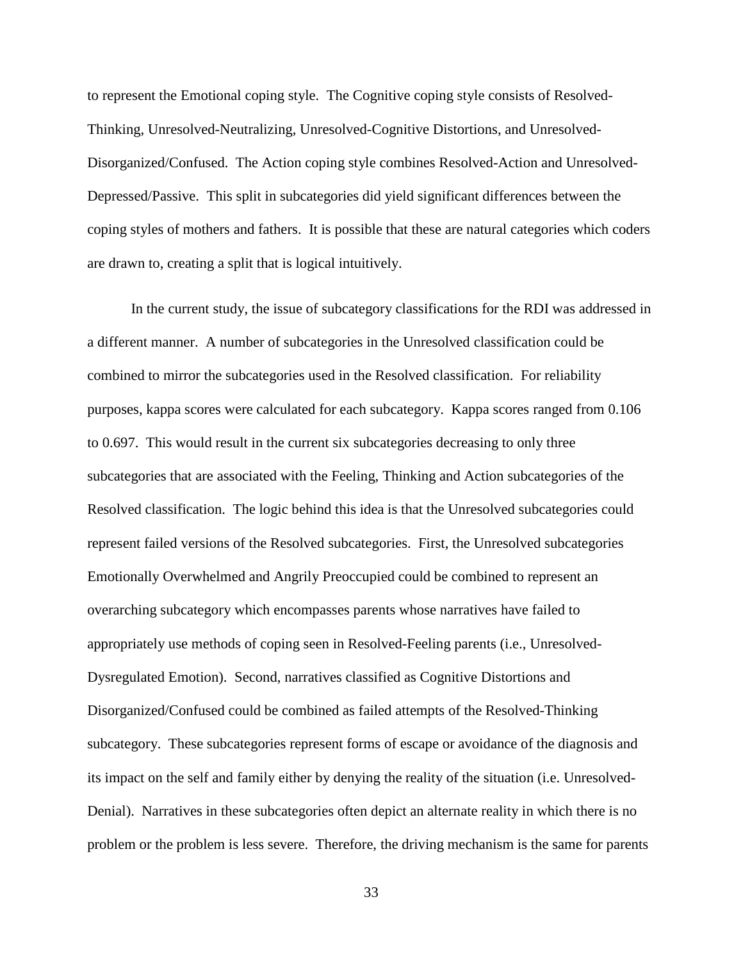to represent the Emotional coping style. The Cognitive coping style consists of Resolved-Thinking, Unresolved-Neutralizing, Unresolved-Cognitive Distortions, and Unresolved-Disorganized/Confused. The Action coping style combines Resolved-Action and Unresolved-Depressed/Passive. This split in subcategories did yield significant differences between the coping styles of mothers and fathers. It is possible that these are natural categories which coders are drawn to, creating a split that is logical intuitively.

In the current study, the issue of subcategory classifications for the RDI was addressed in a different manner. A number of subcategories in the Unresolved classification could be combined to mirror the subcategories used in the Resolved classification. For reliability purposes, kappa scores were calculated for each subcategory. Kappa scores ranged from 0.106 to 0.697. This would result in the current six subcategories decreasing to only three subcategories that are associated with the Feeling, Thinking and Action subcategories of the Resolved classification. The logic behind this idea is that the Unresolved subcategories could represent failed versions of the Resolved subcategories. First, the Unresolved subcategories Emotionally Overwhelmed and Angrily Preoccupied could be combined to represent an overarching subcategory which encompasses parents whose narratives have failed to appropriately use methods of coping seen in Resolved-Feeling parents (i.e., Unresolved-Dysregulated Emotion). Second, narratives classified as Cognitive Distortions and Disorganized/Confused could be combined as failed attempts of the Resolved-Thinking subcategory. These subcategories represent forms of escape or avoidance of the diagnosis and its impact on the self and family either by denying the reality of the situation (i.e. Unresolved-Denial). Narratives in these subcategories often depict an alternate reality in which there is no problem or the problem is less severe. Therefore, the driving mechanism is the same for parents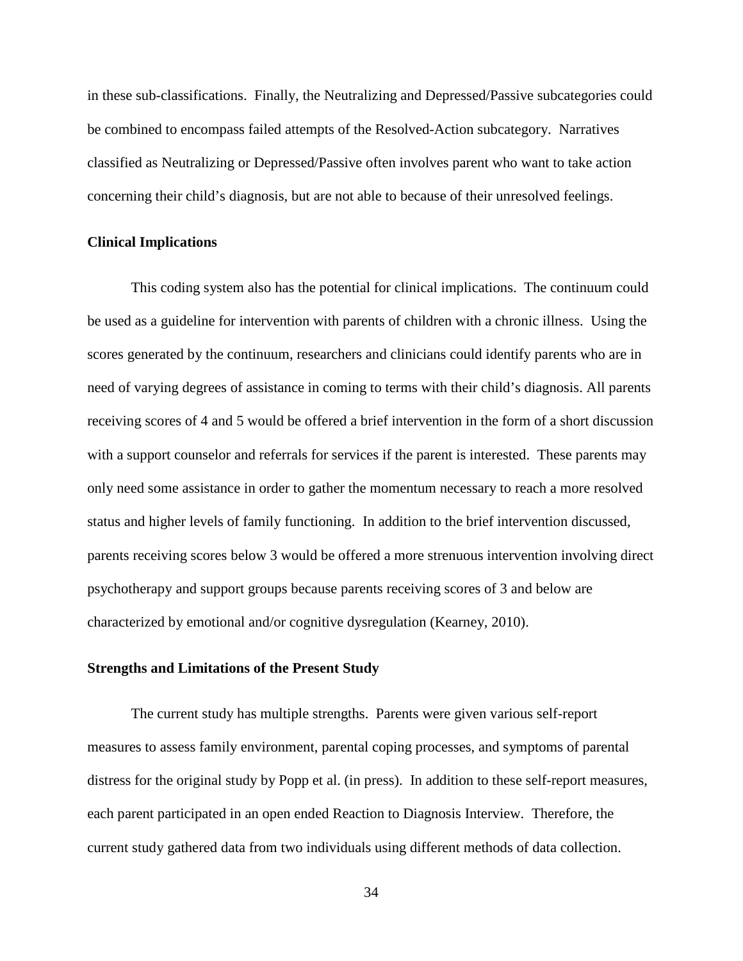in these sub-classifications. Finally, the Neutralizing and Depressed/Passive subcategories could be combined to encompass failed attempts of the Resolved-Action subcategory. Narratives classified as Neutralizing or Depressed/Passive often involves parent who want to take action concerning their child's diagnosis, but are not able to because of their unresolved feelings.

#### **Clinical Implications**

This coding system also has the potential for clinical implications. The continuum could be used as a guideline for intervention with parents of children with a chronic illness. Using the scores generated by the continuum, researchers and clinicians could identify parents who are in need of varying degrees of assistance in coming to terms with their child's diagnosis. All parents receiving scores of 4 and 5 would be offered a brief intervention in the form of a short discussion with a support counselor and referrals for services if the parent is interested. These parents may only need some assistance in order to gather the momentum necessary to reach a more resolved status and higher levels of family functioning. In addition to the brief intervention discussed, parents receiving scores below 3 would be offered a more strenuous intervention involving direct psychotherapy and support groups because parents receiving scores of 3 and below are characterized by emotional and/or cognitive dysregulation (Kearney, 2010).

#### **Strengths and Limitations of the Present Study**

The current study has multiple strengths. Parents were given various self-report measures to assess family environment, parental coping processes, and symptoms of parental distress for the original study by Popp et al. (in press). In addition to these self-report measures, each parent participated in an open ended Reaction to Diagnosis Interview. Therefore, the current study gathered data from two individuals using different methods of data collection.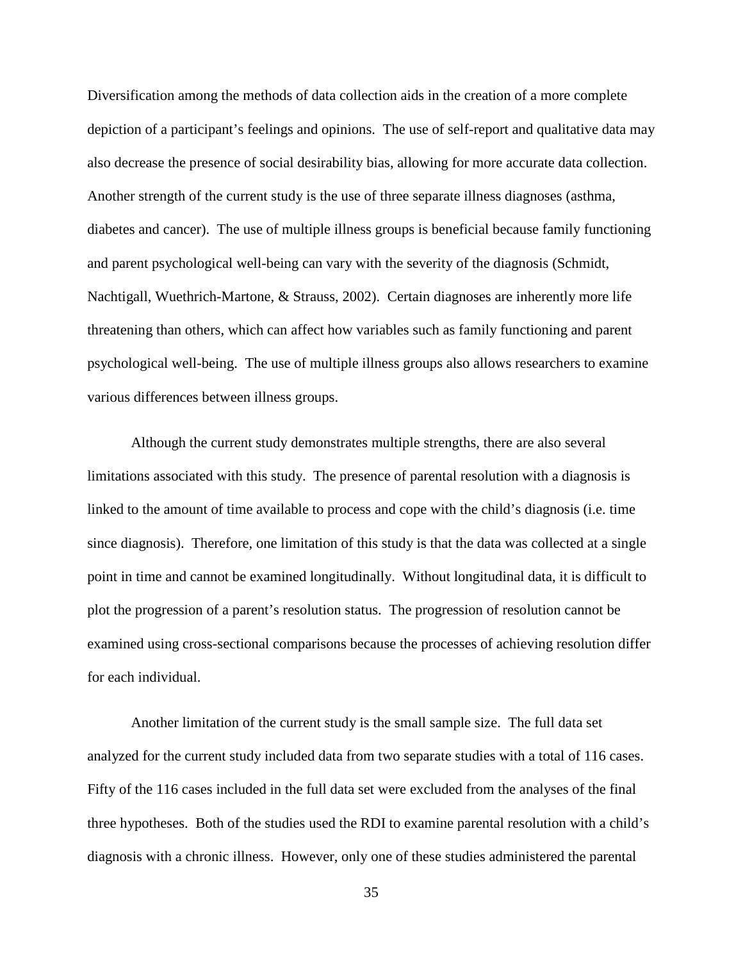Diversification among the methods of data collection aids in the creation of a more complete depiction of a participant's feelings and opinions. The use of self-report and qualitative data may also decrease the presence of social desirability bias, allowing for more accurate data collection. Another strength of the current study is the use of three separate illness diagnoses (asthma, diabetes and cancer). The use of multiple illness groups is beneficial because family functioning and parent psychological well-being can vary with the severity of the diagnosis (Schmidt, Nachtigall, Wuethrich-Martone, & Strauss, 2002). Certain diagnoses are inherently more life threatening than others, which can affect how variables such as family functioning and parent psychological well-being. The use of multiple illness groups also allows researchers to examine various differences between illness groups.

Although the current study demonstrates multiple strengths, there are also several limitations associated with this study. The presence of parental resolution with a diagnosis is linked to the amount of time available to process and cope with the child's diagnosis (i.e. time since diagnosis). Therefore, one limitation of this study is that the data was collected at a single point in time and cannot be examined longitudinally. Without longitudinal data, it is difficult to plot the progression of a parent's resolution status. The progression of resolution cannot be examined using cross-sectional comparisons because the processes of achieving resolution differ for each individual.

Another limitation of the current study is the small sample size. The full data set analyzed for the current study included data from two separate studies with a total of 116 cases. Fifty of the 116 cases included in the full data set were excluded from the analyses of the final three hypotheses. Both of the studies used the RDI to examine parental resolution with a child's diagnosis with a chronic illness. However, only one of these studies administered the parental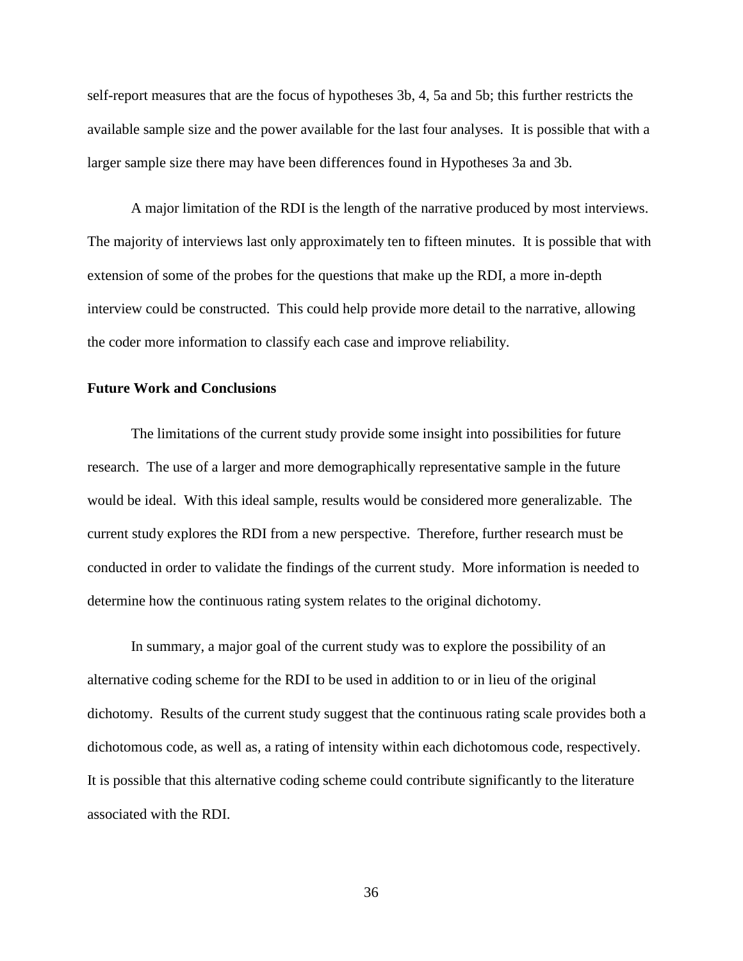self-report measures that are the focus of hypotheses 3b, 4, 5a and 5b; this further restricts the available sample size and the power available for the last four analyses. It is possible that with a larger sample size there may have been differences found in Hypotheses 3a and 3b.

A major limitation of the RDI is the length of the narrative produced by most interviews. The majority of interviews last only approximately ten to fifteen minutes. It is possible that with extension of some of the probes for the questions that make up the RDI, a more in-depth interview could be constructed. This could help provide more detail to the narrative, allowing the coder more information to classify each case and improve reliability.

#### **Future Work and Conclusions**

The limitations of the current study provide some insight into possibilities for future research. The use of a larger and more demographically representative sample in the future would be ideal. With this ideal sample, results would be considered more generalizable. The current study explores the RDI from a new perspective. Therefore, further research must be conducted in order to validate the findings of the current study. More information is needed to determine how the continuous rating system relates to the original dichotomy.

In summary, a major goal of the current study was to explore the possibility of an alternative coding scheme for the RDI to be used in addition to or in lieu of the original dichotomy. Results of the current study suggest that the continuous rating scale provides both a dichotomous code, as well as, a rating of intensity within each dichotomous code, respectively. It is possible that this alternative coding scheme could contribute significantly to the literature associated with the RDI.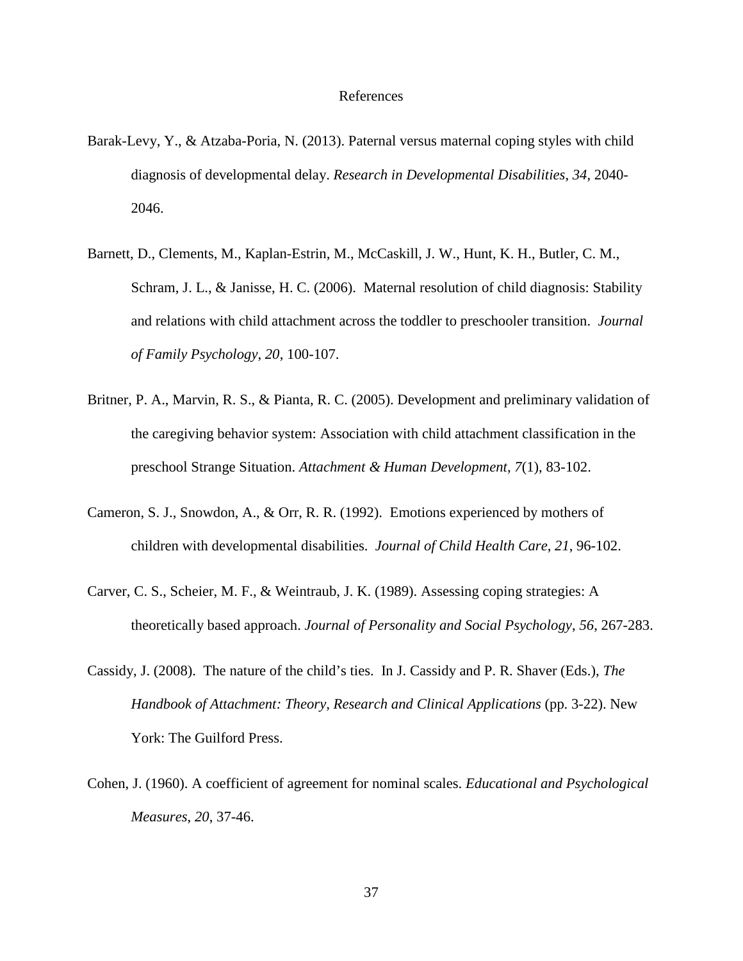#### References

- Barak-Levy, Y., & Atzaba-Poria, N. (2013). Paternal versus maternal coping styles with child diagnosis of developmental delay. *Research in Developmental Disabilities*, *34*, 2040- 2046.
- Barnett, D., Clements, M., Kaplan-Estrin, M., McCaskill, J. W., Hunt, K. H., Butler, C. M., Schram, J. L., & Janisse, H. C. (2006). Maternal resolution of child diagnosis: Stability and relations with child attachment across the toddler to preschooler transition. *Journal of Family Psychology*, *20*, 100-107.
- Britner, P. A., Marvin, R. S., & Pianta, R. C. (2005). Development and preliminary validation of the caregiving behavior system: Association with child attachment classification in the preschool Strange Situation. *Attachment & Human Development*, *7*(1), 83-102.
- Cameron, S. J., Snowdon, A., & Orr, R. R. (1992). Emotions experienced by mothers of children with developmental disabilities. *Journal of Child Health Care*, *21*, 96-102.
- Carver, C. S., Scheier, M. F., & Weintraub, J. K. (1989). Assessing coping strategies: A theoretically based approach. *Journal of Personality and Social Psychology*, *56*, 267-283.
- Cassidy, J. (2008). The nature of the child's ties. In J. Cassidy and P. R. Shaver (Eds.), *The Handbook of Attachment: Theory, Research and Clinical Applications* (pp. 3-22). New York: The Guilford Press.
- Cohen, J. (1960). A coefficient of agreement for nominal scales. *Educational and Psychological Measures*, *20*, 37-46.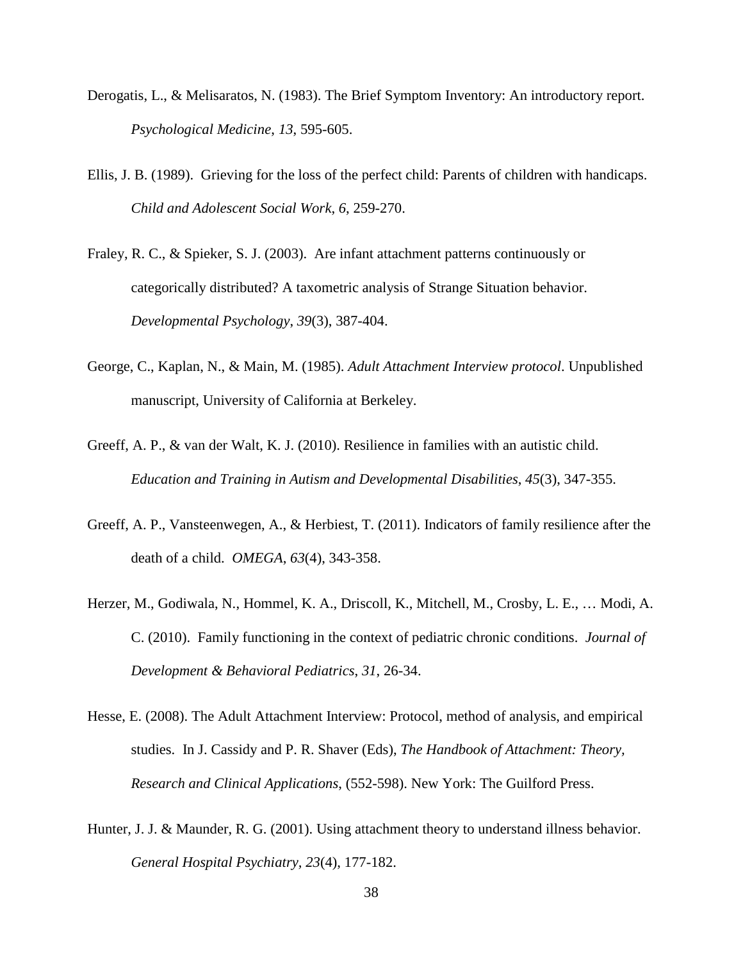- Derogatis, L., & Melisaratos, N. (1983). The Brief Symptom Inventory: An introductory report. *Psychological Medicine*, *13*, 595-605.
- Ellis, J. B. (1989). Grieving for the loss of the perfect child: Parents of children with handicaps. *Child and Adolescent Social Work*, *6*, 259-270.
- Fraley, R. C., & Spieker, S. J. (2003). Are infant attachment patterns continuously or categorically distributed? A taxometric analysis of Strange Situation behavior. *Developmental Psychology*, *39*(3), 387-404.
- George, C., Kaplan, N., & Main, M. (1985). *Adult Attachment Interview protocol*. Unpublished manuscript, University of California at Berkeley.
- Greeff, A. P., & van der Walt, K. J. (2010). Resilience in families with an autistic child. *Education and Training in Autism and Developmental Disabilities*, *45*(3), 347-355.
- Greeff, A. P., Vansteenwegen, A., & Herbiest, T. (2011). Indicators of family resilience after the death of a child. *OMEGA*, *63*(4), 343-358.
- Herzer, M., Godiwala, N., Hommel, K. A., Driscoll, K., Mitchell, M., Crosby, L. E., … Modi, A. C. (2010). Family functioning in the context of pediatric chronic conditions. *Journal of Development & Behavioral Pediatrics*, *31*, 26-34.
- Hesse, E. (2008). The Adult Attachment Interview: Protocol, method of analysis, and empirical studies. In J. Cassidy and P. R. Shaver (Eds), *The Handbook of Attachment: Theory, Research and Clinical Applications*, (552-598). New York: The Guilford Press.
- Hunter, J. J. & Maunder, R. G. (2001). Using attachment theory to understand illness behavior. *General Hospital Psychiatry, 23*(4), 177-182.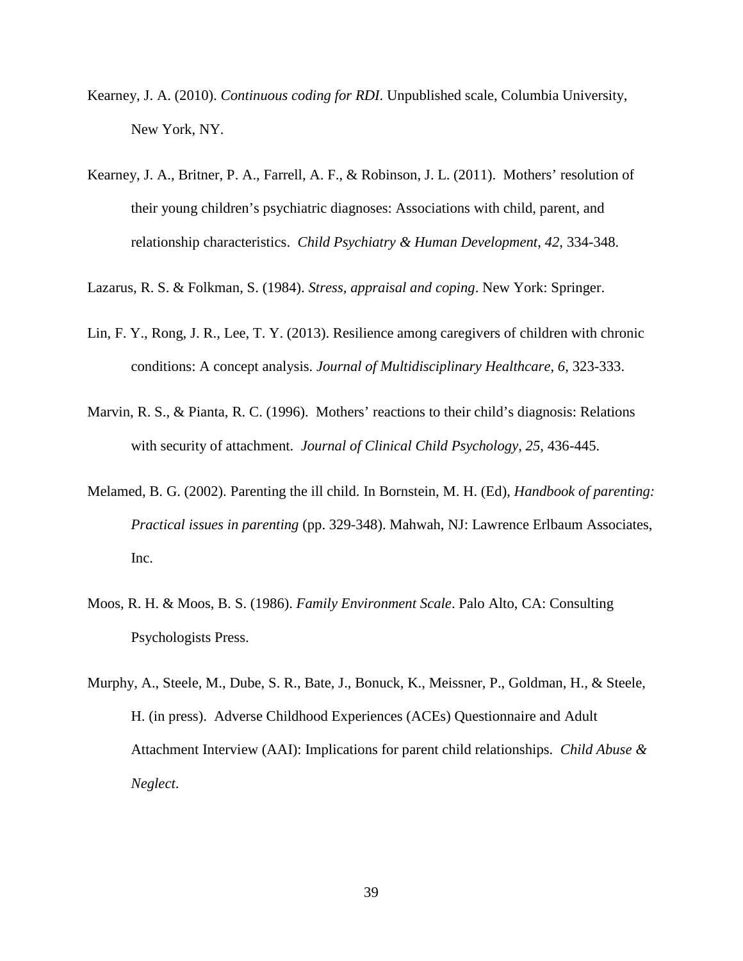- Kearney, J. A. (2010). *Continuous coding for RDI*. Unpublished scale, Columbia University, New York, NY.
- Kearney, J. A., Britner, P. A., Farrell, A. F., & Robinson, J. L. (2011). Mothers' resolution of their young children's psychiatric diagnoses: Associations with child, parent, and relationship characteristics. *Child Psychiatry & Human Development*, *42*, 334-348.

Lazarus, R. S. & Folkman, S. (1984). *Stress, appraisal and coping*. New York: Springer.

- Lin, F. Y., Rong, J. R., Lee, T. Y. (2013). Resilience among caregivers of children with chronic conditions: A concept analysis. *Journal of Multidisciplinary Healthcare*, *6*, 323-333.
- Marvin, R. S., & Pianta, R. C. (1996). Mothers' reactions to their child's diagnosis: Relations with security of attachment. *Journal of Clinical Child Psychology*, *25*, 436-445.
- Melamed, B. G. (2002). Parenting the ill child. In Bornstein, M. H. (Ed), *Handbook of parenting: Practical issues in parenting* (pp. 329-348). Mahwah, NJ: Lawrence Erlbaum Associates, Inc.
- Moos, R. H. & Moos, B. S. (1986). *Family Environment Scale*. Palo Alto, CA: Consulting Psychologists Press.
- Murphy, A., Steele, M., Dube, S. R., Bate, J., Bonuck, K., Meissner, P., Goldman, H., & Steele, H. (in press). Adverse Childhood Experiences (ACEs) Questionnaire and Adult Attachment Interview (AAI): Implications for parent child relationships. *Child Abuse & Neglect*.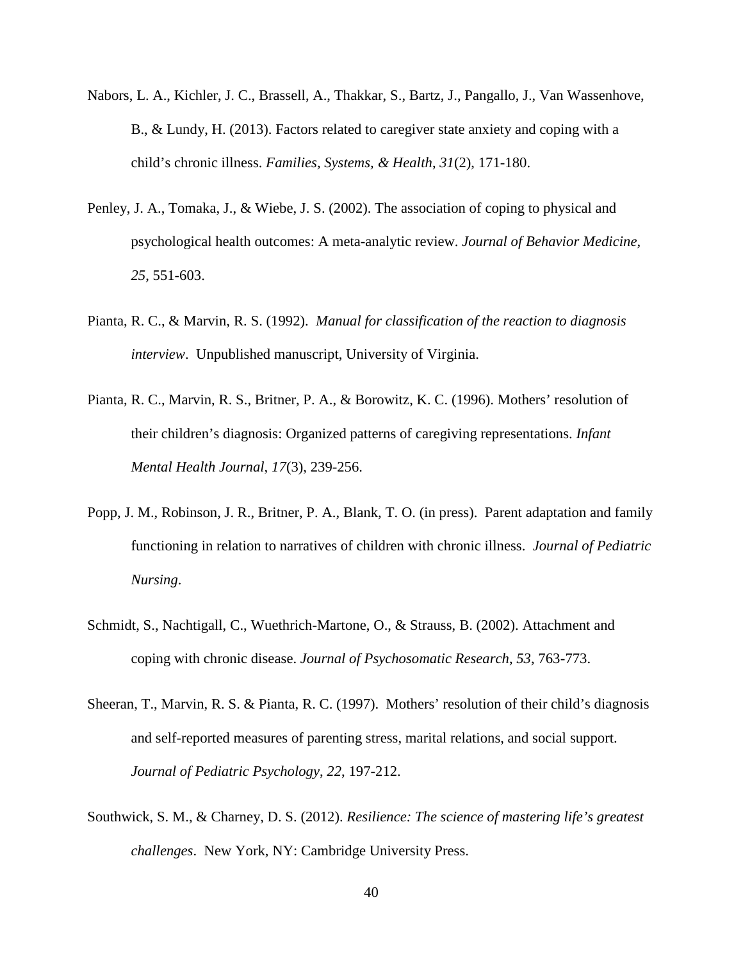- Nabors, L. A., Kichler, J. C., Brassell, A., Thakkar, S., Bartz, J., Pangallo, J., Van Wassenhove, B., & Lundy, H. (2013). Factors related to caregiver state anxiety and coping with a child's chronic illness. *Families, Systems, & Health*, *31*(2), 171-180.
- Penley, J. A., Tomaka, J., & Wiebe, J. S. (2002). The association of coping to physical and psychological health outcomes: A meta-analytic review. *Journal of Behavior Medicine*, *25*, 551-603.
- Pianta, R. C., & Marvin, R. S. (1992). *Manual for classification of the reaction to diagnosis interview*. Unpublished manuscript, University of Virginia.
- Pianta, R. C., Marvin, R. S., Britner, P. A., & Borowitz, K. C. (1996). Mothers' resolution of their children's diagnosis: Organized patterns of caregiving representations. *Infant Mental Health Journal*, *17*(3), 239-256.
- Popp, J. M., Robinson, J. R., Britner, P. A., Blank, T. O. (in press). Parent adaptation and family functioning in relation to narratives of children with chronic illness. *Journal of Pediatric Nursing*.
- Schmidt, S., Nachtigall, C., Wuethrich-Martone, O., & Strauss, B. (2002). Attachment and coping with chronic disease. *Journal of Psychosomatic Research*, *53*, 763-773.
- Sheeran, T., Marvin, R. S. & Pianta, R. C. (1997). Mothers' resolution of their child's diagnosis and self-reported measures of parenting stress, marital relations, and social support. *Journal of Pediatric Psychology*, *22*, 197-212.
- Southwick, S. M., & Charney, D. S. (2012). *Resilience: The science of mastering life's greatest challenges*. New York, NY: Cambridge University Press.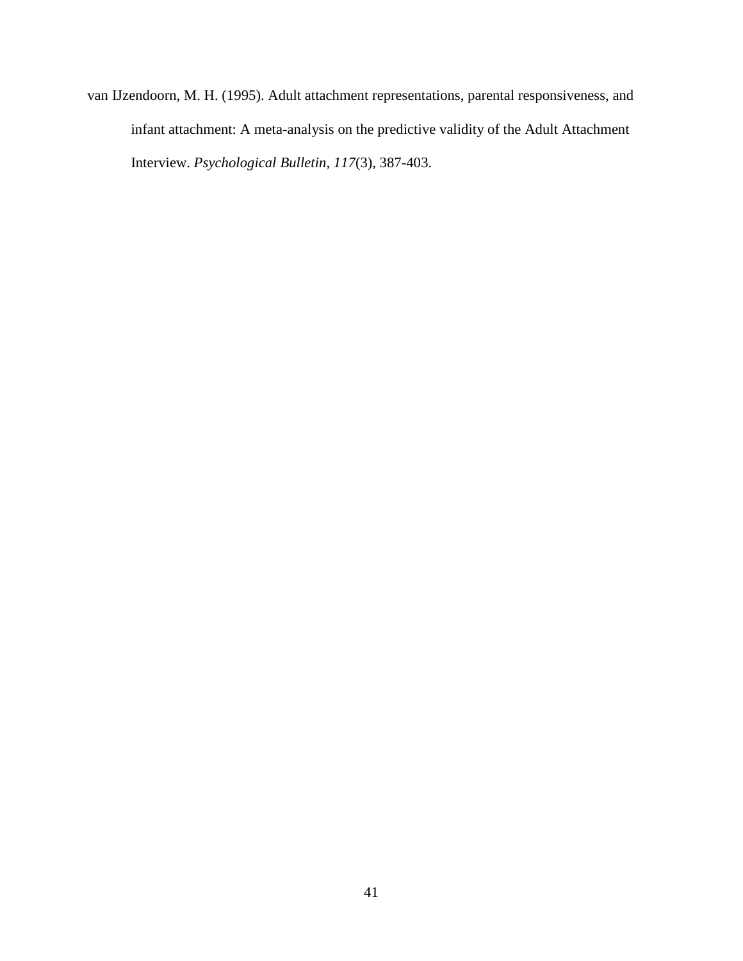van IJzendoorn, M. H. (1995). Adult attachment representations, parental responsiveness, and infant attachment: A meta-analysis on the predictive validity of the Adult Attachment Interview. *Psychological Bulletin*, *117*(3), 387-403.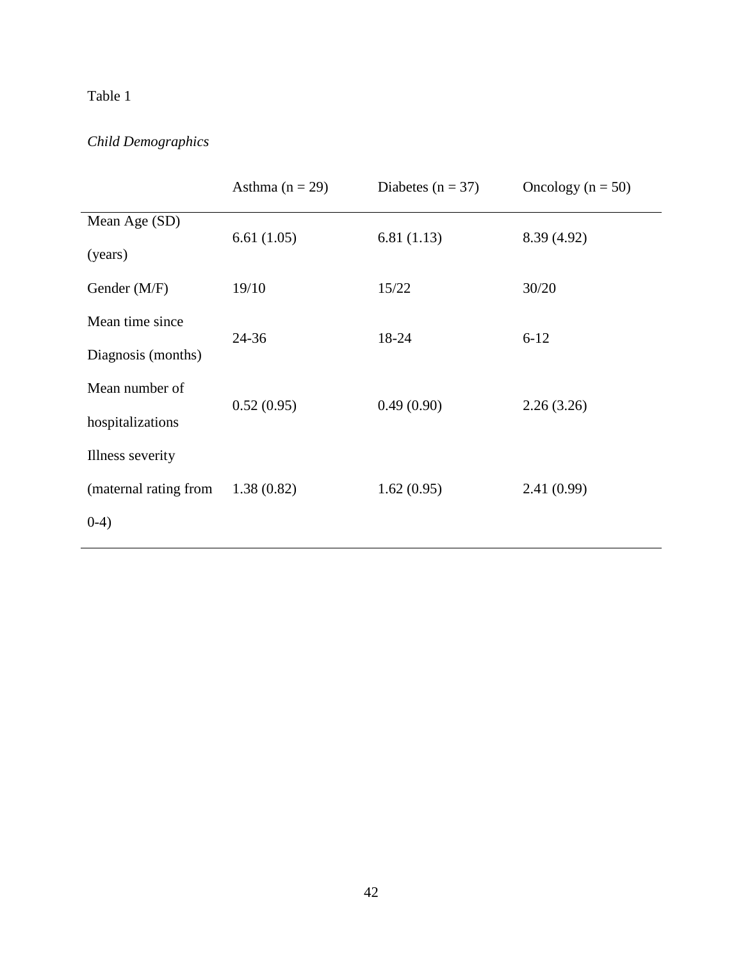# *Child Demographics*

|                          | Asthma $(n = 29)$ | Diabetes ( $n = 37$ ) | Oncology ( $n = 50$ ) |
|--------------------------|-------------------|-----------------------|-----------------------|
| Mean Age (SD)<br>(years) | 6.61(1.05)        | 6.81(1.13)            | 8.39 (4.92)           |
| Gender (M/F)             | 19/10             | 15/22                 | 30/20                 |
| Mean time since          | $24 - 36$         | 18-24                 | $6 - 12$              |
| Diagnosis (months)       |                   |                       |                       |
| Mean number of           | 0.52(0.95)        | 0.49(0.90)            | 2.26(3.26)            |
| hospitalizations         |                   |                       |                       |
| Illness severity         |                   |                       |                       |
| (maternal rating from    | 1.38(0.82)        | 1.62(0.95)            | 2.41(0.99)            |
| $0-4)$                   |                   |                       |                       |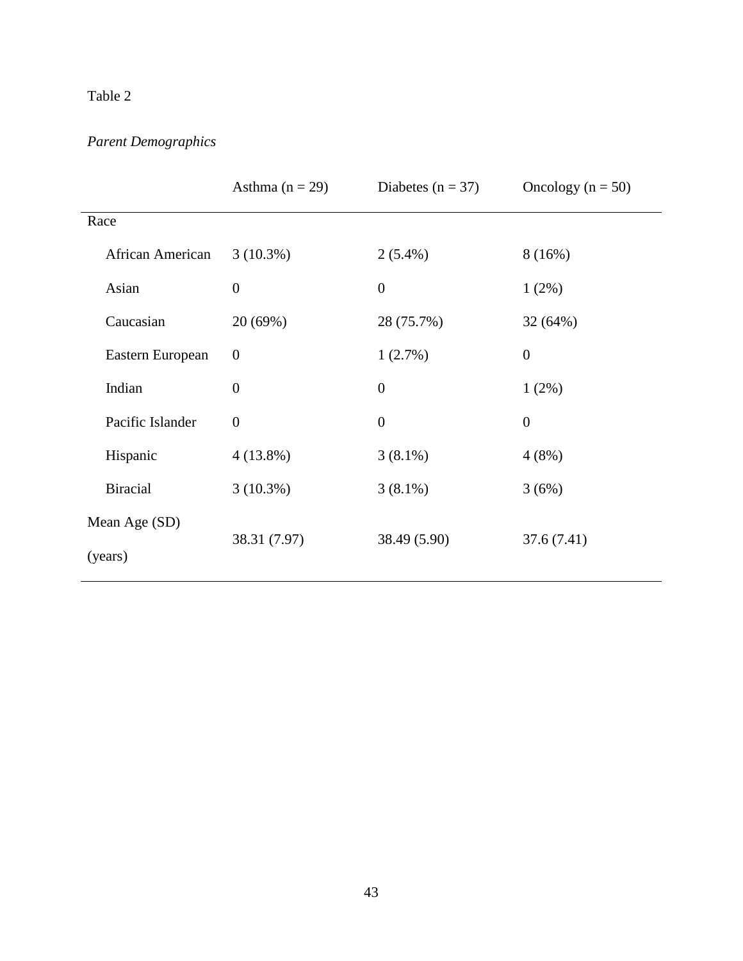# *Parent Demographics*

|                  | Asthma $(n = 29)$ | Diabetes ( $n = 37$ ) | Oncology ( $n = 50$ ) |
|------------------|-------------------|-----------------------|-----------------------|
| Race             |                   |                       |                       |
| African American | $3(10.3\%)$       | $2(5.4\%)$            | 8(16%)                |
| Asian            | $\boldsymbol{0}$  | $\boldsymbol{0}$      | 1(2%)                 |
| Caucasian        | 20 (69%)          | 28 (75.7%)            | 32 (64%)              |
| Eastern European | $\boldsymbol{0}$  | 1(2.7%)               | $\boldsymbol{0}$      |
| Indian           | $\boldsymbol{0}$  | $\boldsymbol{0}$      | 1(2%)                 |
| Pacific Islander | $\overline{0}$    | $\overline{0}$        | $\overline{0}$        |
| Hispanic         | $4(13.8\%)$       | $3(8.1\%)$            | 4(8%)                 |
| <b>Biracial</b>  | $3(10.3\%)$       | $3(8.1\%)$            | 3(6%)                 |
| Mean Age (SD)    | 38.31 (7.97)      | 38.49 (5.90)          | 37.6 (7.41)           |
| (years)          |                   |                       |                       |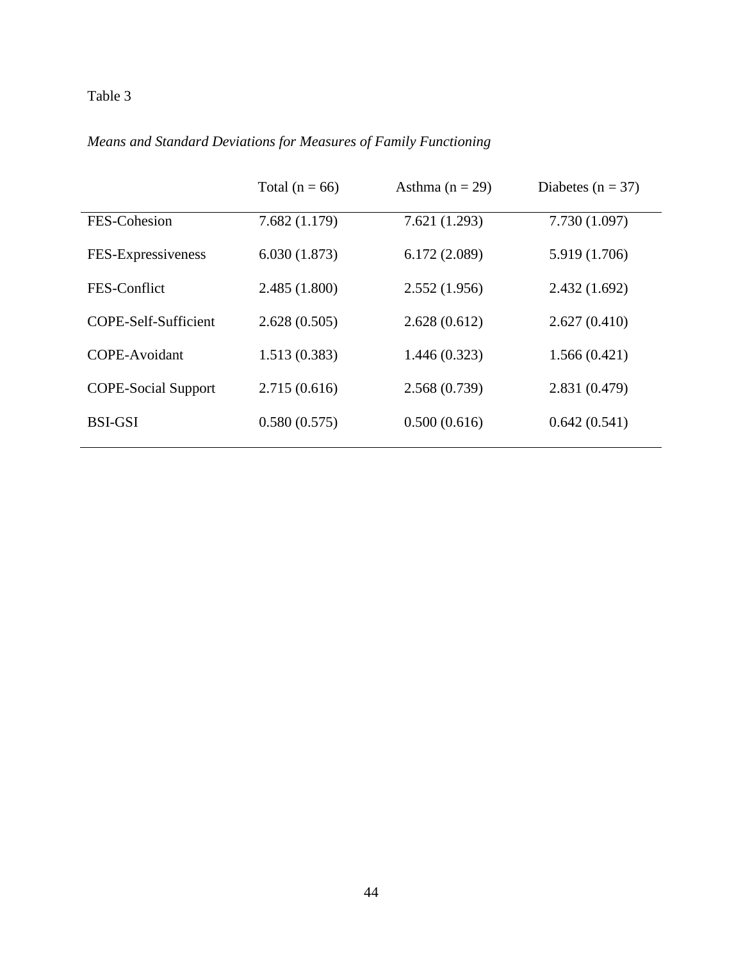|                            | Total $(n = 66)$ | Asthma $(n = 29)$ | Diabetes ( $n = 37$ ) |  |
|----------------------------|------------------|-------------------|-----------------------|--|
| FES-Cohesion               | 7.682(1.179)     | 7.621 (1.293)     | 7.730 (1.097)         |  |
| FES-Expressiveness         | 6.030(1.873)     | 6.172(2.089)      | 5.919 (1.706)         |  |
| FES-Conflict               | 2.485 (1.800)    | 2.552(1.956)      | 2.432(1.692)          |  |
| COPE-Self-Sufficient       | 2.628(0.505)     | 2.628(0.612)      | 2.627(0.410)          |  |
| COPE-Avoidant              | 1.513(0.383)     | 1.446(0.323)      | 1.566(0.421)          |  |
| <b>COPE-Social Support</b> | 2.715(0.616)     | 2.568 (0.739)     | 2.831 (0.479)         |  |
| <b>BSI-GSI</b>             | 0.580(0.575)     | 0.500(0.616)      | 0.642(0.541)          |  |
|                            |                  |                   |                       |  |

# *Means and Standard Deviations for Measures of Family Functioning*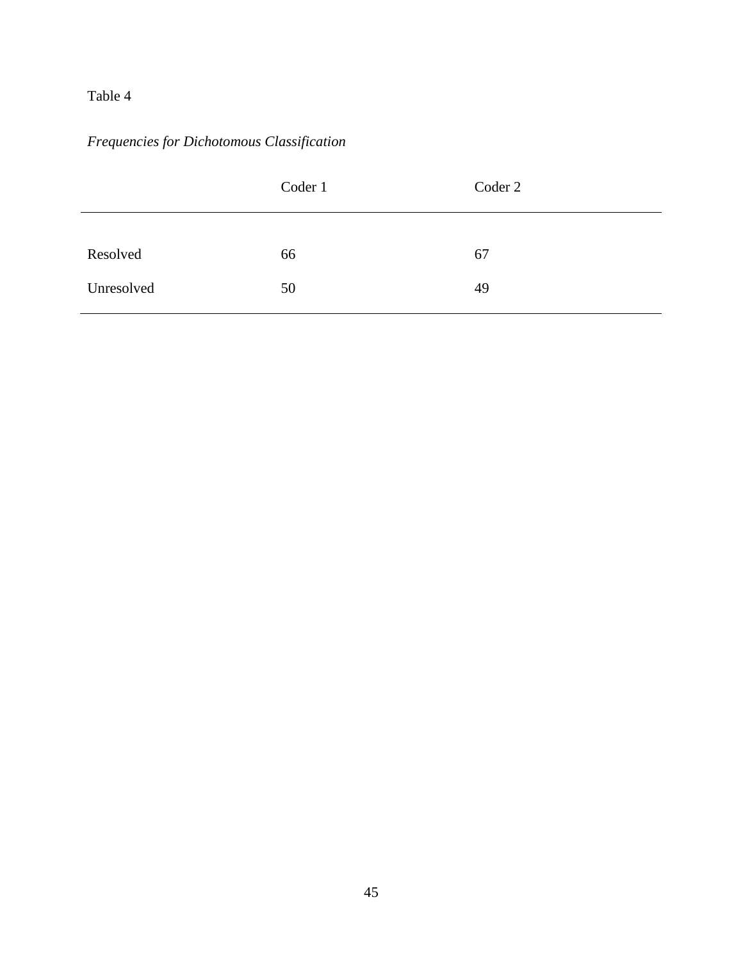# *Frequencies for Dichotomous Classification*

|            | Coder 1 | Coder 2 |
|------------|---------|---------|
|            |         |         |
| Resolved   | 66      | 67      |
| Unresolved | 50      | 49      |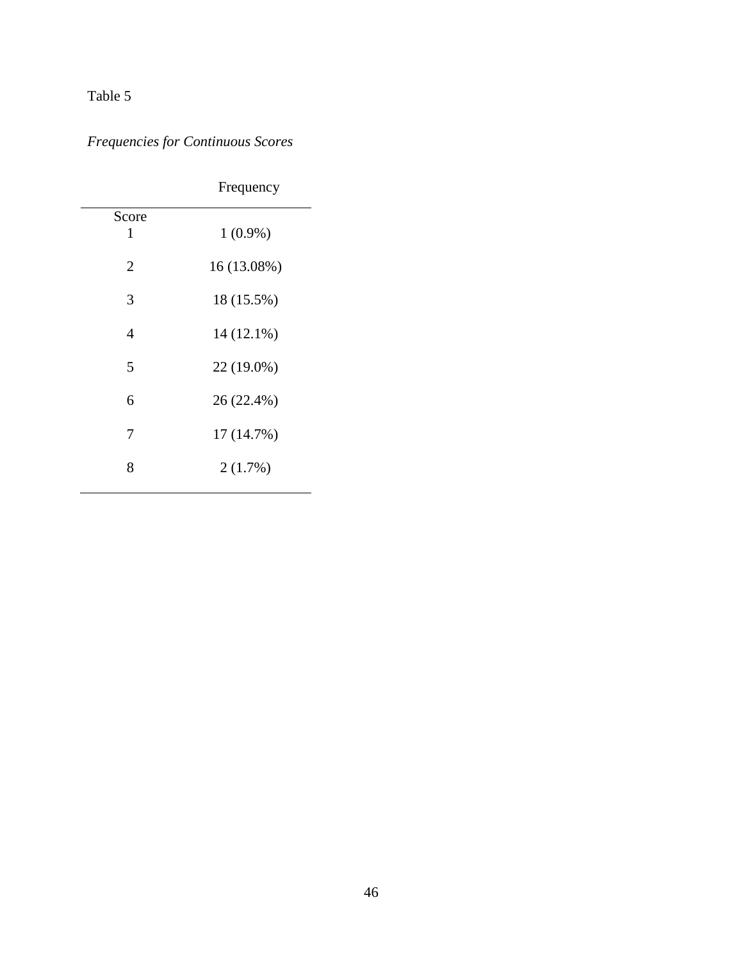*Frequencies for Continuous Scores*

|            | Frequency   |
|------------|-------------|
| Score<br>1 | $1(0.9\%)$  |
| 2          | 16 (13.08%) |
| 3          | 18 (15.5%)  |
| 4          | 14 (12.1%)  |
| 5          | 22 (19.0%)  |
| 6          | 26 (22.4%)  |
| 7          | 17 (14.7%)  |
| 8          | 2(1.7%)     |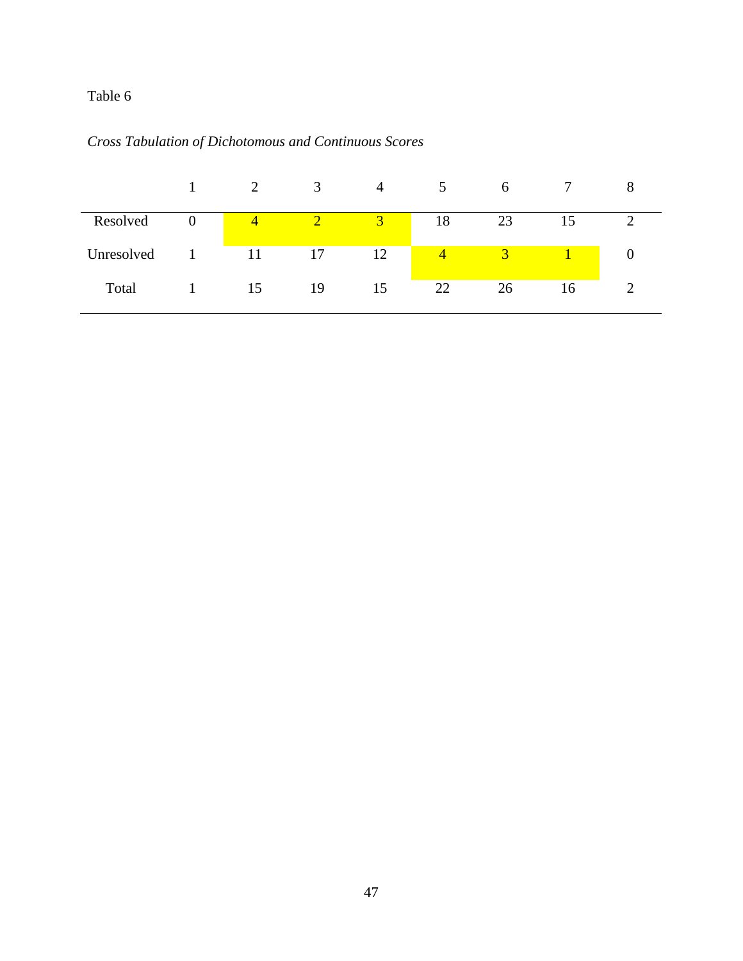|            |   |    | 3  | $\overline{4}$ |    | <sub>0</sub> |    | O |
|------------|---|----|----|----------------|----|--------------|----|---|
| Resolved   | U |    |    | 3<br>ر         | 18 | 23           |    |   |
| Unresolved |   | 11 | 17 | 12             | 4  | ≺            |    |   |
| Total      |   | 15 | 19 | 15             | 22 | 26           | 16 |   |

# *Cross Tabulation of Dichotomous and Continuous Scores*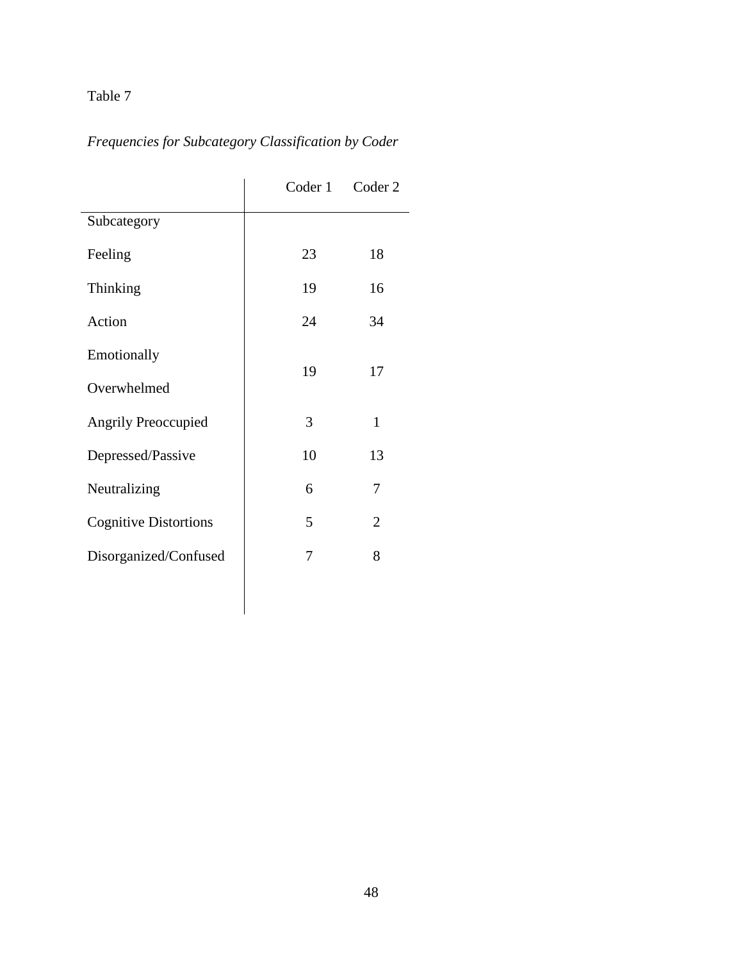# *Frequencies for Subcategory Classification by Coder*

|                              |    | Coder 1 Coder 2 |
|------------------------------|----|-----------------|
| Subcategory                  |    |                 |
| Feeling                      | 23 | 18              |
| Thinking                     | 19 | 16              |
| Action                       | 24 | 34              |
| Emotionally                  | 19 | 17              |
| Overwhelmed                  |    |                 |
| <b>Angrily Preoccupied</b>   | 3  | 1               |
| Depressed/Passive            | 10 | 13              |
| Neutralizing                 | 6  | 7               |
| <b>Cognitive Distortions</b> | 5  | $\overline{2}$  |
| Disorganized/Confused        | 7  | 8               |